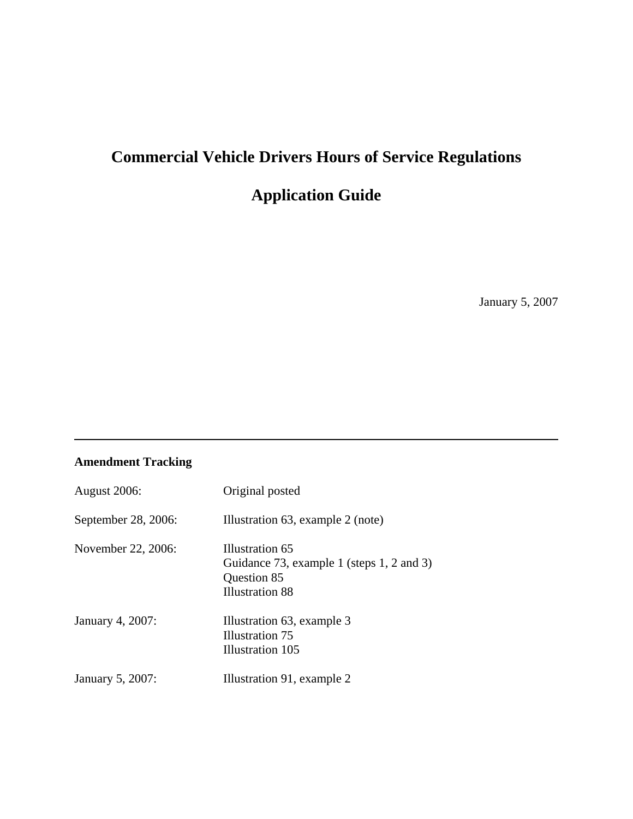# **Commercial Vehicle Drivers Hours of Service Regulations**

# **Application Guide**

January 5, 2007

# **Amendment Tracking**

| <b>August 2006:</b> | Original posted                                                                                       |
|---------------------|-------------------------------------------------------------------------------------------------------|
| September 28, 2006: | Illustration 63, example 2 (note)                                                                     |
| November 22, 2006:  | Illustration 65<br>Guidance 73, example 1 (steps 1, 2 and 3)<br>Question 85<br><b>Illustration 88</b> |
| January 4, 2007:    | Illustration 63, example 3<br>Illustration 75<br>Illustration 105                                     |
| January 5, 2007:    | Illustration 91, example 2                                                                            |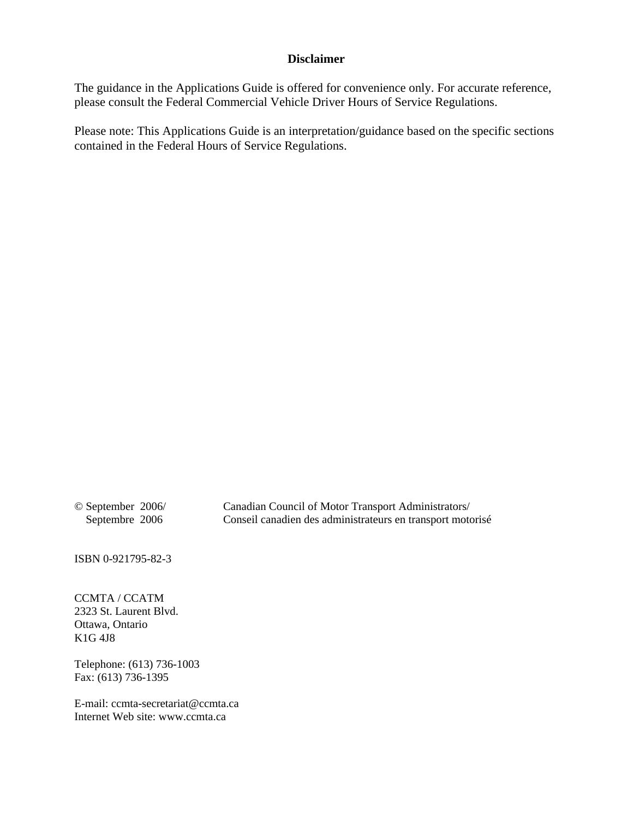#### **Disclaimer**

The guidance in the Applications Guide is offered for convenience only. For accurate reference, please consult the Federal Commercial Vehicle Driver Hours of Service Regulations.

Please note: This Applications Guide is an interpretation/guidance based on the specific sections contained in the Federal Hours of Service Regulations.

© September 2006/ Canadian Council of Motor Transport Administrators/ Septembre 2006 Conseil canadien des administrateurs en transport motorisé

ISBN 0-921795-82-3

CCMTA / CCATM 2323 St. Laurent Blvd. Ottawa, Ontario K1G 4J8

Telephone: (613) 736-1003 Fax: (613) 736-1395

E-mail: ccmta-secretariat@ccmta.ca Internet Web site: www.ccmta.ca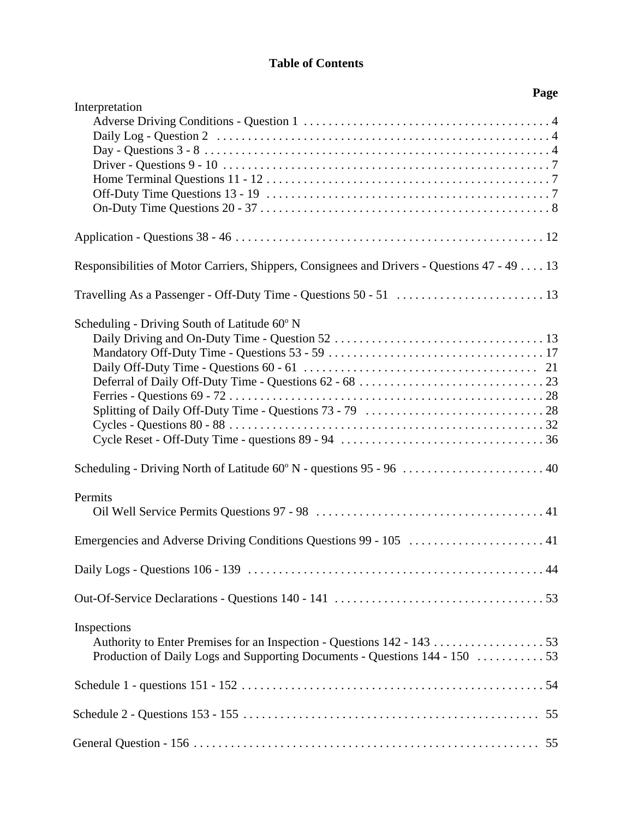# **Table of Contents**

| Page                                                                                         |
|----------------------------------------------------------------------------------------------|
| Interpretation                                                                               |
|                                                                                              |
| Responsibilities of Motor Carriers, Shippers, Consignees and Drivers - Questions 47 - 49  13 |
|                                                                                              |
| Scheduling - Driving South of Latitude 60° N                                                 |
| Scheduling - Driving North of Latitude 60° N - questions 95 - 96  40                         |
| Permits                                                                                      |
| Emergencies and Adverse Driving Conditions Questions 99 - 105  41                            |
|                                                                                              |
|                                                                                              |
| Inspections                                                                                  |
|                                                                                              |
|                                                                                              |
|                                                                                              |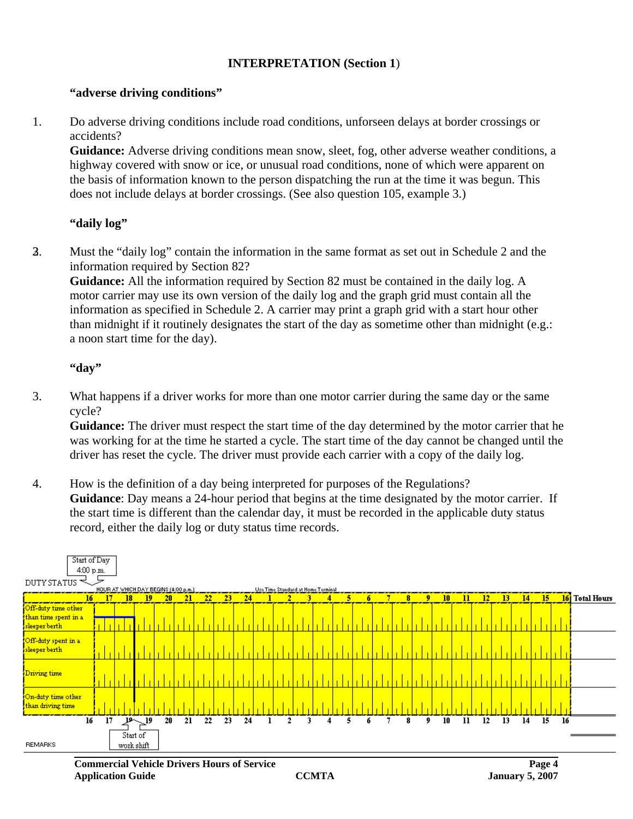#### **INTERPRETATION (Section 1**)

#### **"adverse driving conditions"**

1. Do adverse driving conditions include road conditions, unforseen delays at border crossings or accidents?

**Guidance:** Adverse driving conditions mean snow, sleet, fog, other adverse weather conditions, a highway covered with snow or ice, or unusual road conditions, none of which were apparent on the basis of information known to the person dispatching the run at the time it was begun. This does not include delays at border crossings. (See also question 105, example 3.)

# **"daily log"**

23. Must the "daily log" contain the information in the same format as set out in Schedule 2 and the information required by Section 82?

**Guidance:** All the information required by Section 82 must be contained in the daily log. A motor carrier may use its own version of the daily log and the graph grid must contain all the information as specified in Schedule 2. A carrier may print a graph grid with a start hour other than midnight if it routinely designates the start of the day as sometime other than midnight (e.g.: a noon start time for the day).

#### **"day"**

3. What happens if a driver works for more than one motor carrier during the same day or the same cycle?

**Guidance:** The driver must respect the start time of the day determined by the motor carrier that he was working for at the time he started a cycle. The start time of the day cannot be changed until the driver has reset the cycle. The driver must provide each carrier with a copy of the daily log.

4. How is the definition of a day being interpreted for purposes of the Regulations? **Guidance**: Day means a 24-hour period that begins at the time designated by the motor carrier. If the start time is different than the calendar day, it must be recorded in the applicable duty status record, either the daily log or duty status time records.

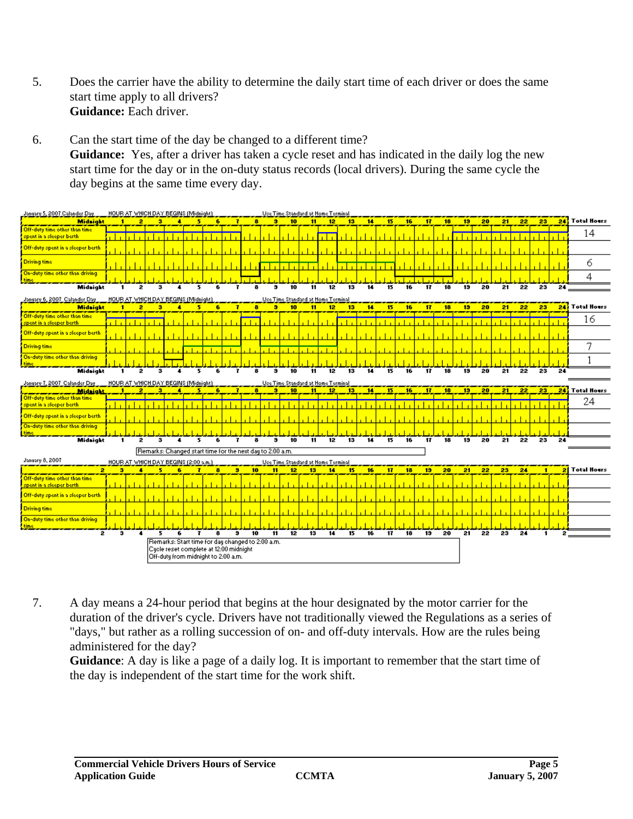- 5. Does the carrier have the ability to determine the daily start time of each driver or does the same start time apply to all drivers? **Guidance:** Each driver.
- 6. Can the start time of the day be changed to a different time? **Guidance:** Yes, after a driver has taken a cycle reset and has indicated in the daily log the new start time for the day or in the on-duty status records (local drivers). During the same cycle the day begins at the same time every day.



7. A day means a 24-hour period that begins at the hour designated by the motor carrier for the duration of the driver's cycle. Drivers have not traditionally viewed the Regulations as a series of "days," but rather as a rolling succession of on- and off-duty intervals. How are the rules being administered for the day?

**Guidance**: A day is like a page of a daily log. It is important to remember that the start time of the day is independent of the start time for the work shift.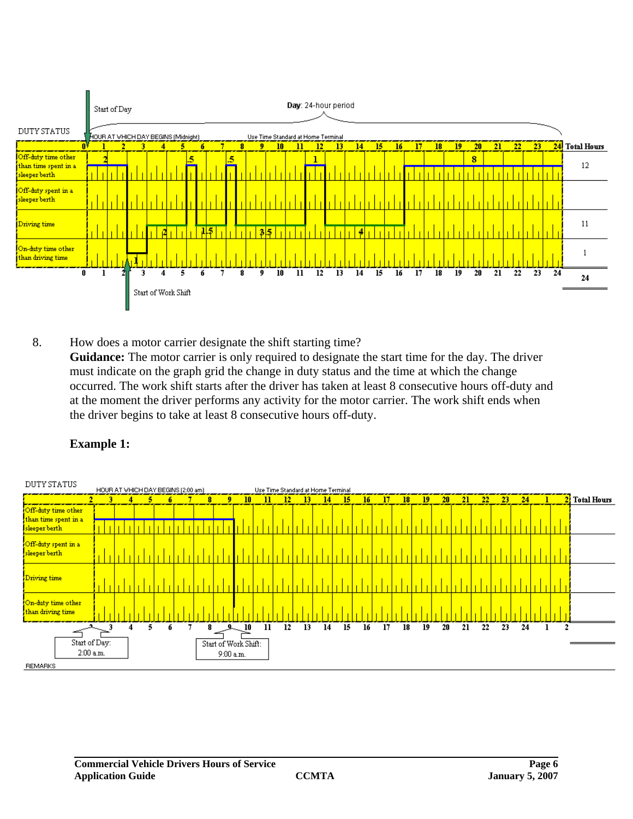

8. How does a motor carrier designate the shift starting time? **Guidance:** The motor carrier is only required to designate the start time for the day. The driver must indicate on the graph grid the change in duty status and the time at which the change occurred. The work shift starts after the driver has taken at least 8 consecutive hours off-duty and at the moment the driver performs any activity for the motor carrier. The work shift ends when the driver begins to take at least 8 consecutive hours off-duty.



# **Example 1:**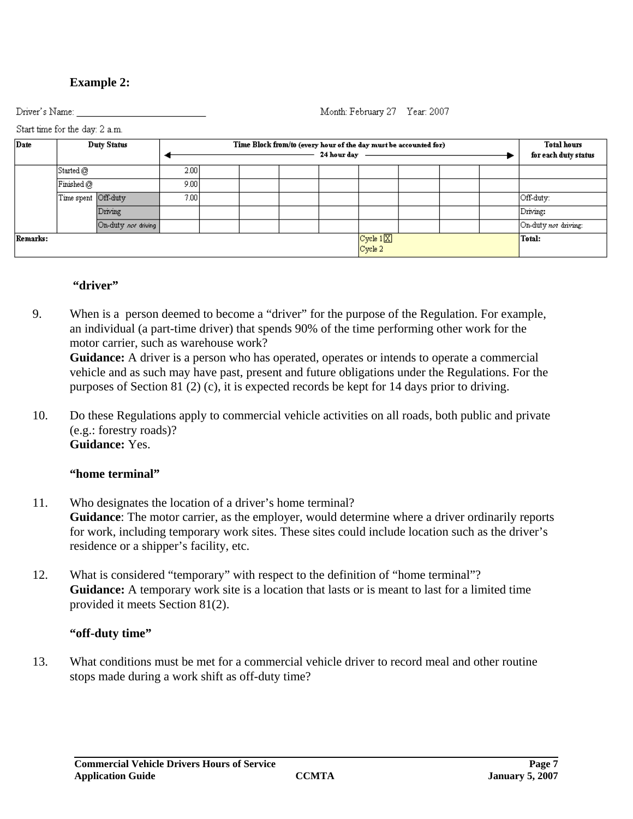#### **Commercial Vehicle Drivers Hours of Service Page 7 Page 7 Page 7 Application Guide CCMTA January 5, 2007**

Driver's Name:

Start time for the day: 2 a.m.

# **"driver"**

- 9. When is a person deemed to become a "driver" for the purpose of the Regulation. For example, an individual (a part-time driver) that spends 90% of the time performing other work for the motor carrier, such as warehouse work? **Guidance:** A driver is a person who has operated, operates or intends to operate a commercial vehicle and as such may have past, present and future obligations under the Regulations. For the purposes of Section 81 (2) (c), it is expected records be kept for 14 days prior to driving.
- 10. Do these Regulations apply to commercial vehicle activities on all roads, both public and private (e.g.: forestry roads)? **Guidance:** Yes.

# **"home terminal"**

- 11. Who designates the location of a driver's home terminal? **Guidance**: The motor carrier, as the employer, would determine where a driver ordinarily reports for work, including temporary work sites. These sites could include location such as the driver's residence or a shipper's facility, etc.
- 12. What is considered "temporary" with respect to the definition of "home terminal"? **Guidance:** A temporary work site is a location that lasts or is meant to last for a limited time provided it meets Section 81(2).

# **"off-duty time"**

13. What conditions must be met for a commercial vehicle driver to record meal and other routine stops made during a work shift as off-duty time?

Month: February 27 Year: 2007

# **Example 2:**

Date **Duty Status** Time Block from/to (every hour of the day must be accounted for) **Total hours** 24 hour day for each duty status Started  $@$  $\frac{1}{2.00}$  $9.00$ Finished  $@$ Time spent Off-duty  $7.00$ Off-duty: Driving Driving: On-duty not driving On-duty not driving: Cycle  $1|\overline{X}|$ Remarks: Total:  $C$ ycle  $2<sup>1</sup>$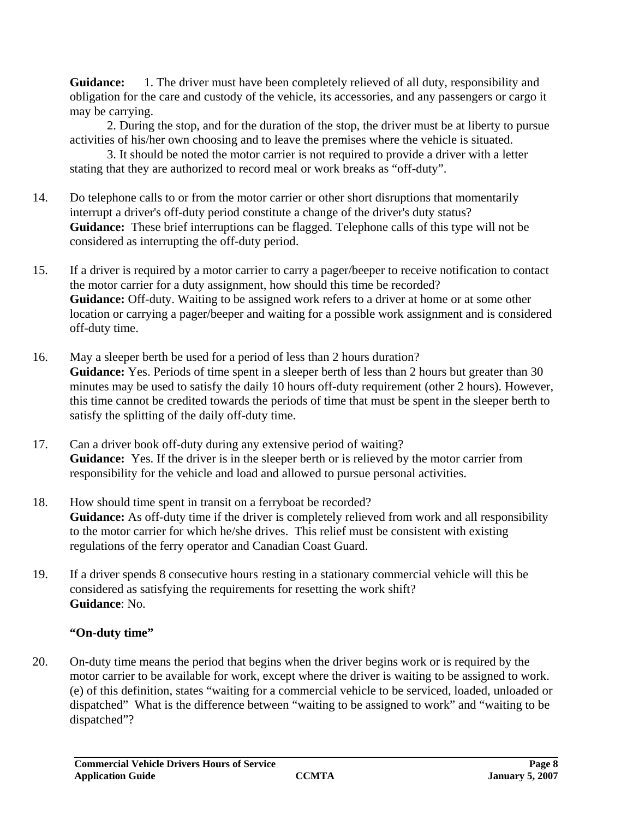Guidance: 1. The driver must have been completely relieved of all duty, responsibility and obligation for the care and custody of the vehicle, its accessories, and any passengers or cargo it may be carrying.

2. During the stop, and for the duration of the stop, the driver must be at liberty to pursue activities of his/her own choosing and to leave the premises where the vehicle is situated.

3. It should be noted the motor carrier is not required to provide a driver with a letter stating that they are authorized to record meal or work breaks as "off-duty".

- 14. Do telephone calls to or from the motor carrier or other short disruptions that momentarily interrupt a driver's off-duty period constitute a change of the driver's duty status? **Guidance:** These brief interruptions can be flagged. Telephone calls of this type will not be considered as interrupting the off-duty period.
- 15. If a driver is required by a motor carrier to carry a pager/beeper to receive notification to contact the motor carrier for a duty assignment, how should this time be recorded? **Guidance:** Off-duty. Waiting to be assigned work refers to a driver at home or at some other location or carrying a pager/beeper and waiting for a possible work assignment and is considered off-duty time.
- 16. May a sleeper berth be used for a period of less than 2 hours duration? **Guidance:** Yes. Periods of time spent in a sleeper berth of less than 2 hours but greater than 30 minutes may be used to satisfy the daily 10 hours off-duty requirement (other 2 hours). However, this time cannot be credited towards the periods of time that must be spent in the sleeper berth to satisfy the splitting of the daily off-duty time.
- 17. Can a driver book off-duty during any extensive period of waiting? Guidance: Yes. If the driver is in the sleeper berth or is relieved by the motor carrier from responsibility for the vehicle and load and allowed to pursue personal activities.
- 18. How should time spent in transit on a ferryboat be recorded? **Guidance:** As off-duty time if the driver is completely relieved from work and all responsibility to the motor carrier for which he/she drives. This relief must be consistent with existing regulations of the ferry operator and Canadian Coast Guard.
- 19. If a driver spends 8 consecutive hours resting in a stationary commercial vehicle will this be considered as satisfying the requirements for resetting the work shift? **Guidance**: No.

# **"On-duty time"**

20. On-duty time means the period that begins when the driver begins work or is required by the motor carrier to be available for work, except where the driver is waiting to be assigned to work. (e) of this definition, states "waiting for a commercial vehicle to be serviced, loaded, unloaded or dispatched" What is the difference between "waiting to be assigned to work" and "waiting to be dispatched"?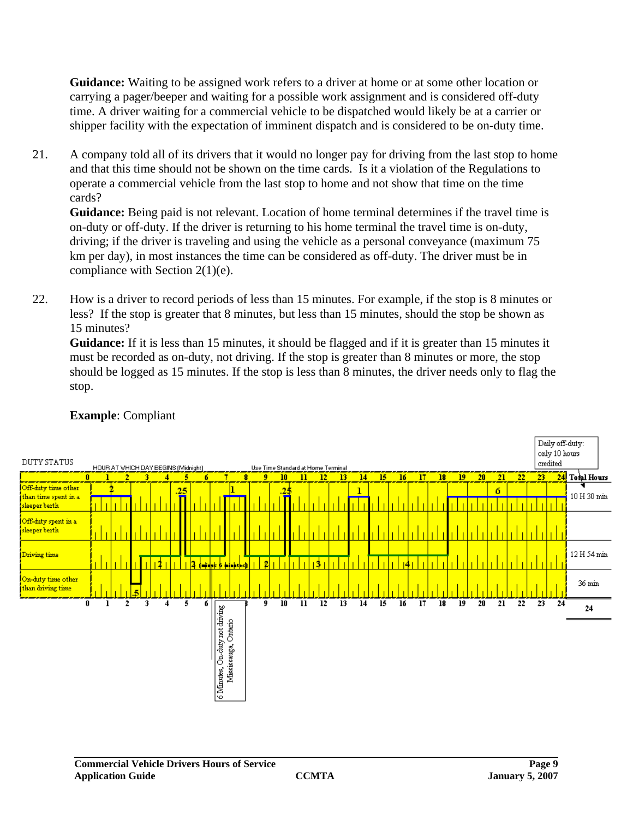**Guidance:** Waiting to be assigned work refers to a driver at home or at some other location or carrying a pager/beeper and waiting for a possible work assignment and is considered off-duty time. A driver waiting for a commercial vehicle to be dispatched would likely be at a carrier or shipper facility with the expectation of imminent dispatch and is considered to be on-duty time.

21. A company told all of its drivers that it would no longer pay for driving from the last stop to home and that this time should not be shown on the time cards. Is it a violation of the Regulations to operate a commercial vehicle from the last stop to home and not show that time on the time cards?

**Guidance:** Being paid is not relevant. Location of home terminal determines if the travel time is on-duty or off-duty. If the driver is returning to his home terminal the travel time is on-duty, driving; if the driver is traveling and using the vehicle as a personal conveyance (maximum 75 km per day), in most instances the time can be considered as off-duty. The driver must be in compliance with Section 2(1)(e).

22. How is a driver to record periods of less than 15 minutes. For example, if the stop is 8 minutes or less? If the stop is greater that 8 minutes, but less than 15 minutes, should the stop be shown as 15 minutes?

**Guidance:** If it is less than 15 minutes, it should be flagged and if it is greater than 15 minutes it must be recorded as on-duty, not driving. If the stop is greater than 8 minutes or more, the stop should be logged as 15 minutes. If the stop is less than 8 minutes, the driver needs only to flag the stop.



# **Example**: Compliant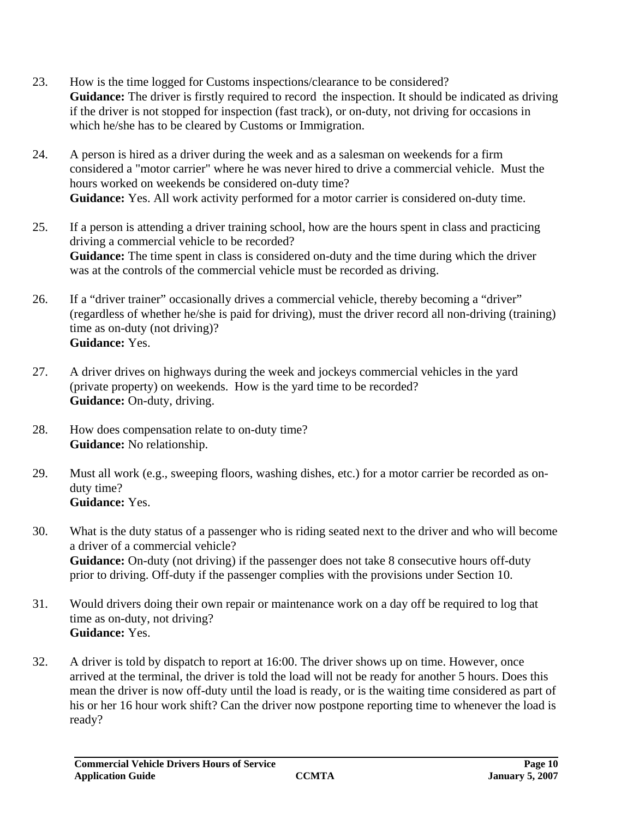- 23. How is the time logged for Customs inspections/clearance to be considered? Guidance: The driver is firstly required to record the inspection. It should be indicated as driving if the driver is not stopped for inspection (fast track), or on-duty, not driving for occasions in which he/she has to be cleared by Customs or Immigration.
- 24. A person is hired as a driver during the week and as a salesman on weekends for a firm considered a "motor carrier" where he was never hired to drive a commercial vehicle. Must the hours worked on weekends be considered on-duty time? **Guidance:** Yes. All work activity performed for a motor carrier is considered on-duty time.
- 25. If a person is attending a driver training school, how are the hours spent in class and practicing driving a commercial vehicle to be recorded? Guidance: The time spent in class is considered on-duty and the time during which the driver was at the controls of the commercial vehicle must be recorded as driving.
- 26. If a "driver trainer" occasionally drives a commercial vehicle, thereby becoming a "driver" (regardless of whether he/she is paid for driving), must the driver record all non-driving (training) time as on-duty (not driving)? **Guidance:** Yes.
- 27. A driver drives on highways during the week and jockeys commercial vehicles in the yard (private property) on weekends. How is the yard time to be recorded? **Guidance:** On-duty, driving.
- 28. How does compensation relate to on-duty time? **Guidance:** No relationship.
- 29. Must all work (e.g., sweeping floors, washing dishes, etc.) for a motor carrier be recorded as onduty time? **Guidance:** Yes.
- 30. What is the duty status of a passenger who is riding seated next to the driver and who will become a driver of a commercial vehicle? **Guidance:** On-duty (not driving) if the passenger does not take 8 consecutive hours off-duty prior to driving. Off-duty if the passenger complies with the provisions under Section 10.
- 31. Would drivers doing their own repair or maintenance work on a day off be required to log that time as on-duty, not driving? **Guidance:** Yes.
- 32. A driver is told by dispatch to report at 16:00. The driver shows up on time. However, once arrived at the terminal, the driver is told the load will not be ready for another 5 hours. Does this mean the driver is now off-duty until the load is ready, or is the waiting time considered as part of his or her 16 hour work shift? Can the driver now postpone reporting time to whenever the load is ready?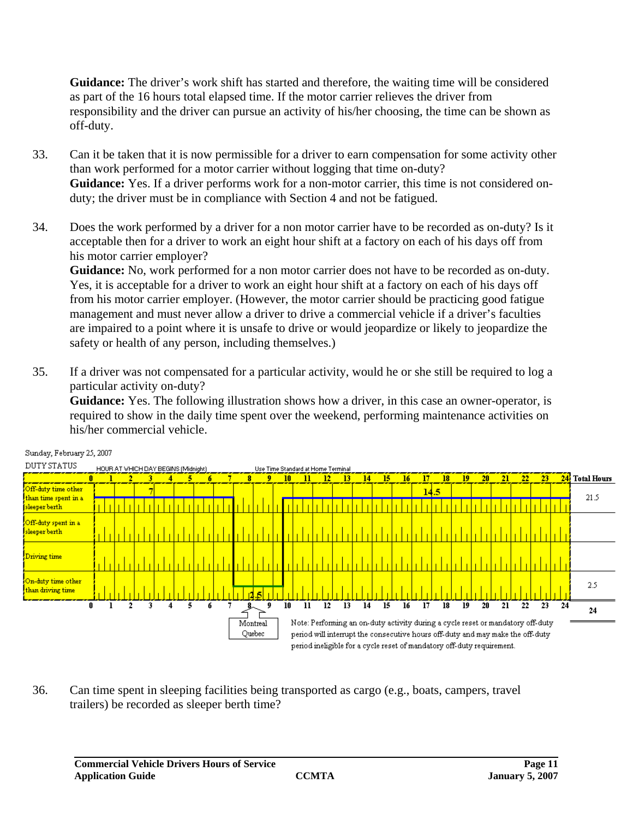**Guidance:** The driver's work shift has started and therefore, the waiting time will be considered as part of the 16 hours total elapsed time. If the motor carrier relieves the driver from responsibility and the driver can pursue an activity of his/her choosing, the time can be shown as off-duty.

- 33. Can it be taken that it is now permissible for a driver to earn compensation for some activity other than work performed for a motor carrier without logging that time on-duty? **Guidance:** Yes. If a driver performs work for a non-motor carrier, this time is not considered onduty; the driver must be in compliance with Section 4 and not be fatigued.
- 34. Does the work performed by a driver for a non motor carrier have to be recorded as on-duty? Is it acceptable then for a driver to work an eight hour shift at a factory on each of his days off from his motor carrier employer?

**Guidance:** No, work performed for a non motor carrier does not have to be recorded as on-duty. Yes, it is acceptable for a driver to work an eight hour shift at a factory on each of his days off from his motor carrier employer. (However, the motor carrier should be practicing good fatigue management and must never allow a driver to drive a commercial vehicle if a driver's faculties are impaired to a point where it is unsafe to drive or would jeopardize or likely to jeopardize the safety or health of any person, including themselves.)

35. If a driver was not compensated for a particular activity, would he or she still be required to log a particular activity on-duty?

**Guidance:** Yes. The following illustration shows how a driver, in this case an owner-operator, is required to show in the daily time spent over the weekend, performing maintenance activities on his/her commercial vehicle.



Sunday, February 25, 2007

36. Can time spent in sleeping facilities being transported as cargo (e.g., boats, campers, travel trailers) be recorded as sleeper berth time?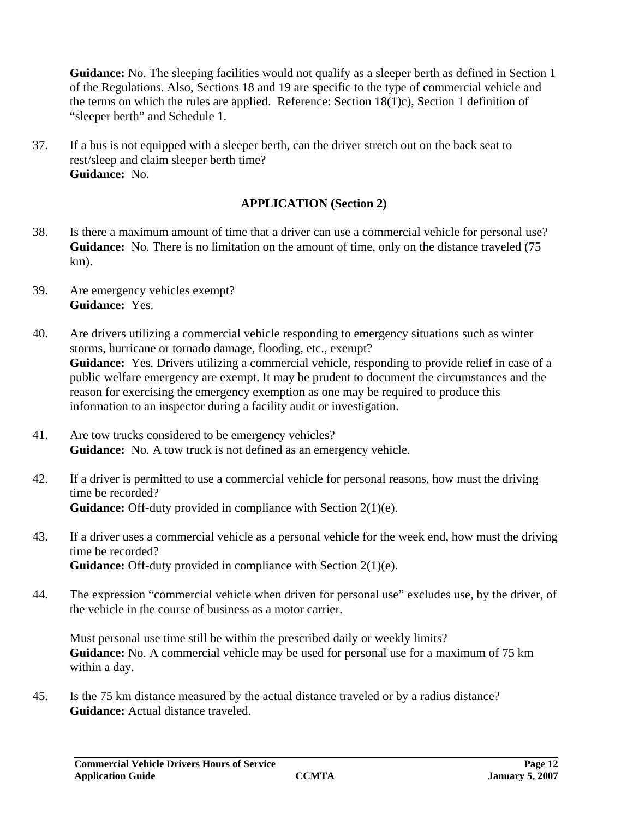**Guidance:** No. The sleeping facilities would not qualify as a sleeper berth as defined in Section 1 of the Regulations. Also, Sections 18 and 19 are specific to the type of commercial vehicle and the terms on which the rules are applied. Reference: Section 18(1)c), Section 1 definition of "sleeper berth" and Schedule 1.

37. If a bus is not equipped with a sleeper berth, can the driver stretch out on the back seat to rest/sleep and claim sleeper berth time? **Guidance:** No.

# **APPLICATION (Section 2)**

- 38. Is there a maximum amount of time that a driver can use a commercial vehicle for personal use? Guidance: No. There is no limitation on the amount of time, only on the distance traveled (75) km).
- 39. Are emergency vehicles exempt? **Guidance:** Yes.
- 40. Are drivers utilizing a commercial vehicle responding to emergency situations such as winter storms, hurricane or tornado damage, flooding, etc., exempt? **Guidance:** Yes. Drivers utilizing a commercial vehicle, responding to provide relief in case of a public welfare emergency are exempt. It may be prudent to document the circumstances and the reason for exercising the emergency exemption as one may be required to produce this information to an inspector during a facility audit or investigation.
- 41. Are tow trucks considered to be emergency vehicles? **Guidance:** No. A tow truck is not defined as an emergency vehicle.
- 42. If a driver is permitted to use a commercial vehicle for personal reasons, how must the driving time be recorded? **Guidance:** Off-duty provided in compliance with Section 2(1)(e).
- 43. If a driver uses a commercial vehicle as a personal vehicle for the week end, how must the driving time be recorded? **Guidance:** Off-duty provided in compliance with Section 2(1)(e).
- 44. The expression "commercial vehicle when driven for personal use" excludes use, by the driver, of the vehicle in the course of business as a motor carrier.

Must personal use time still be within the prescribed daily or weekly limits? **Guidance:** No. A commercial vehicle may be used for personal use for a maximum of 75 km within a day.

45. Is the 75 km distance measured by the actual distance traveled or by a radius distance? **Guidance:** Actual distance traveled.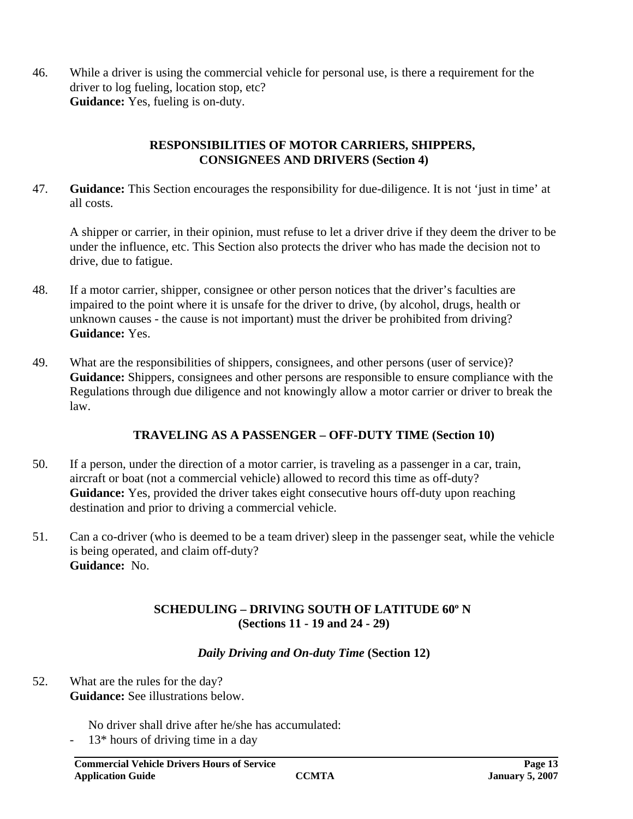46. While a driver is using the commercial vehicle for personal use, is there a requirement for the driver to log fueling, location stop, etc? **Guidance:** Yes, fueling is on-duty.

#### **RESPONSIBILITIES OF MOTOR CARRIERS, SHIPPERS, CONSIGNEES AND DRIVERS (Section 4)**

47. **Guidance:** This Section encourages the responsibility for due-diligence. It is not 'just in time' at all costs.

A shipper or carrier, in their opinion, must refuse to let a driver drive if they deem the driver to be under the influence, etc. This Section also protects the driver who has made the decision not to drive, due to fatigue.

- 48. If a motor carrier, shipper, consignee or other person notices that the driver's faculties are impaired to the point where it is unsafe for the driver to drive, (by alcohol, drugs, health or unknown causes - the cause is not important) must the driver be prohibited from driving? **Guidance:** Yes.
- 49. What are the responsibilities of shippers, consignees, and other persons (user of service)? **Guidance:** Shippers, consignees and other persons are responsible to ensure compliance with the Regulations through due diligence and not knowingly allow a motor carrier or driver to break the law.

# **TRAVELING AS A PASSENGER – OFF-DUTY TIME (Section 10)**

- 50. If a person, under the direction of a motor carrier, is traveling as a passenger in a car, train, aircraft or boat (not a commercial vehicle) allowed to record this time as off-duty? **Guidance:** Yes, provided the driver takes eight consecutive hours off-duty upon reaching destination and prior to driving a commercial vehicle.
- 51. Can a co-driver (who is deemed to be a team driver) sleep in the passenger seat, while the vehicle is being operated, and claim off-duty? **Guidance:** No.

# **SCHEDULING – DRIVING SOUTH OF LATITUDE 60º N (Sections 11 - 19 and 24 - 29)**

# *Daily Driving and On-duty Time* **(Section 12)**

52. What are the rules for the day? **Guidance:** See illustrations below.

No driver shall drive after he/she has accumulated:

 $13*$  hours of driving time in a day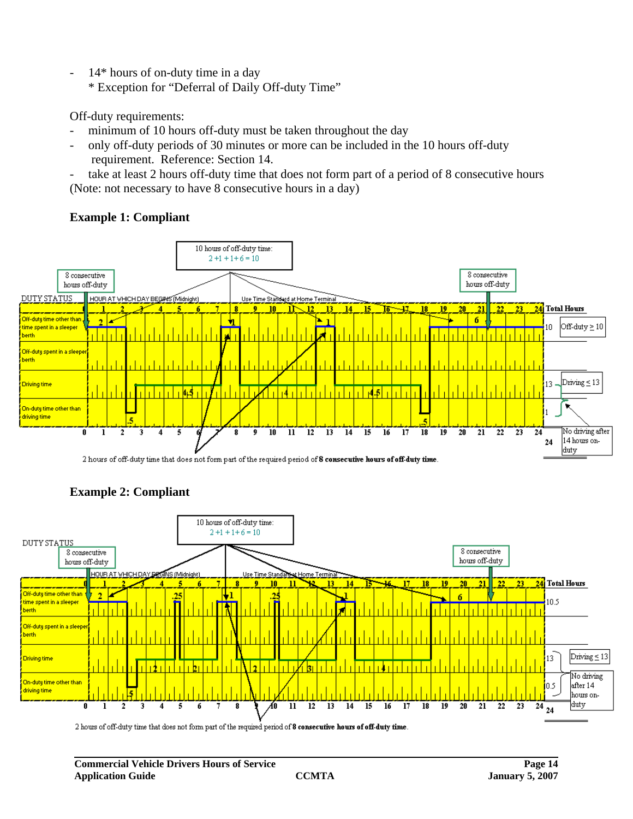- 14\* hours of on-duty time in a day
	- \* Exception for "Deferral of Daily Off-duty Time"

Off-duty requirements:

- minimum of 10 hours off-duty must be taken throughout the day
- only off-duty periods of 30 minutes or more can be included in the 10 hours off-duty requirement. Reference: Section 14.
- take at least 2 hours off-duty time that does not form part of a period of 8 consecutive hours (Note: not necessary to have 8 consecutive hours in a day)

# **Example 1: Compliant**



2 hours of off-duty time that does not form part of the required period of 8 consecutive hours of off-duty time.



# **Example 2: Compliant**

2 hours of off-duty time that does not form part of the required period of 8 consecutive hours of off-duty time.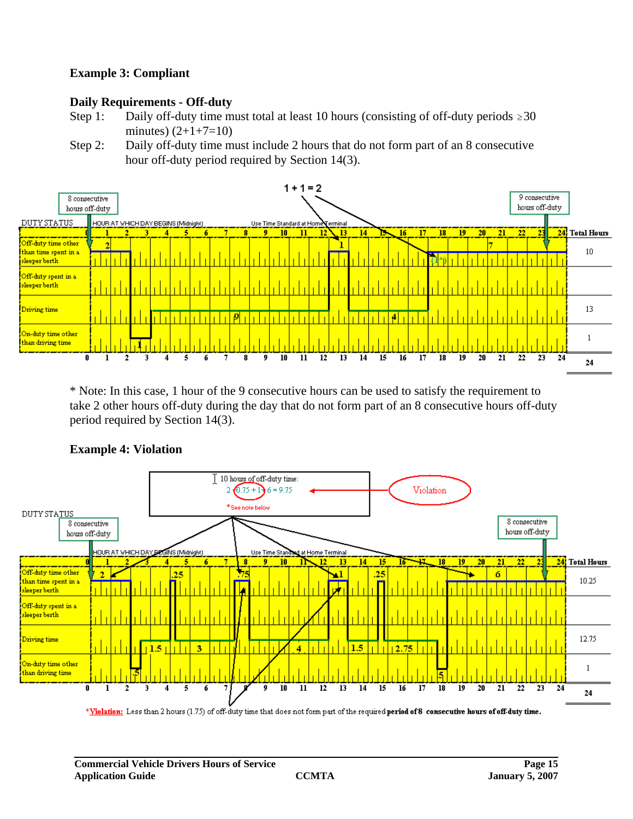#### **Example 3: Compliant**

#### **Daily Requirements - Off-duty**

- Step 1: Daily off-duty time must total at least 10 hours (consisting of off-duty periods  $\geq 30$ ) minutes)  $(2+1+7=10)$
- Step 2: Daily off-duty time must include 2 hours that do not form part of an 8 consecutive hour off-duty period required by Section 14(3).



\* Note: In this case, 1 hour of the 9 consecutive hours can be used to satisfy the requirement to take 2 other hours off-duty during the day that do not form part of an 8 consecutive hours off-duty period required by Section 14(3).



#### **Example 4: Violation**

\*Violation: Less than 2 hours (1.75) of off-duty time that does not form part of the required period of 8 consecutive hours of off-duty time.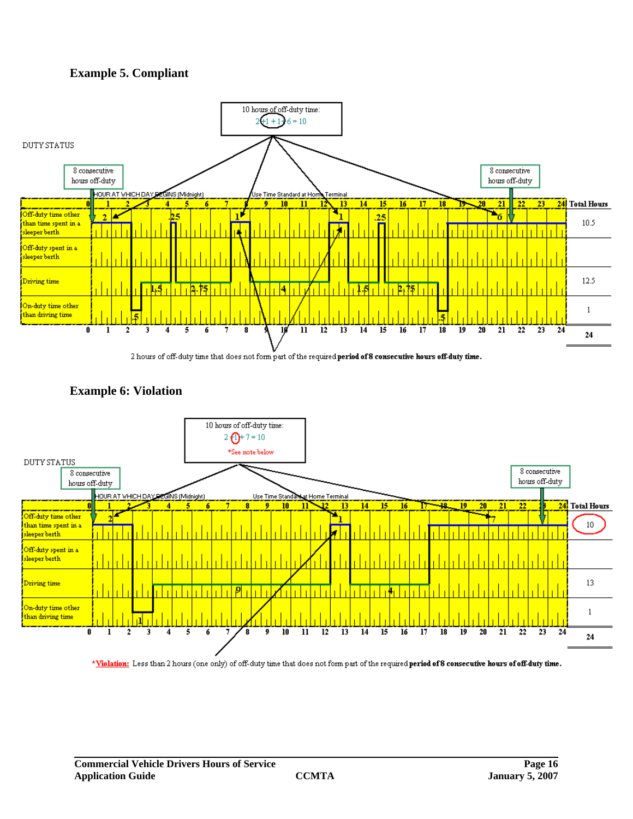#### **Example 5. Compliant**







\*Violation: Less than 2 hours (one only) of off-duty time that does not form part of the required period of 8 consecutive hours of off-duty time.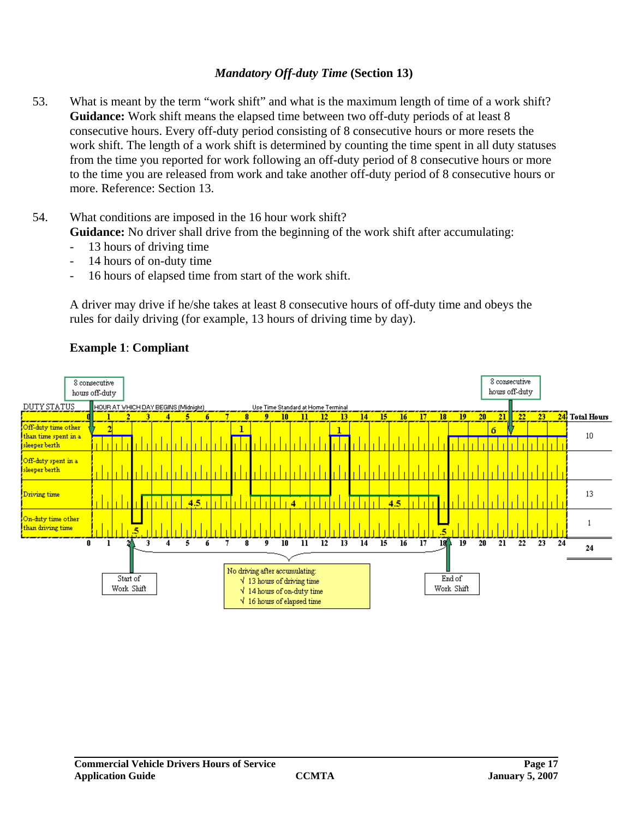#### *Mandatory Off-duty Time* **(Section 13)**

- 53. What is meant by the term "work shift" and what is the maximum length of time of a work shift? **Guidance:** Work shift means the elapsed time between two off-duty periods of at least 8 consecutive hours. Every off-duty period consisting of 8 consecutive hours or more resets the work shift. The length of a work shift is determined by counting the time spent in all duty statuses from the time you reported for work following an off-duty period of 8 consecutive hours or more to the time you are released from work and take another off-duty period of 8 consecutive hours or more. Reference: Section 13.
- 54. What conditions are imposed in the 16 hour work shift? **Guidance:** No driver shall drive from the beginning of the work shift after accumulating:
	- 13 hours of driving time
	- 14 hours of on-duty time
	- 16 hours of elapsed time from start of the work shift.

A driver may drive if he/she takes at least 8 consecutive hours of off-duty time and obeys the rules for daily driving (for example, 13 hours of driving time by day).



#### **Example 1**: **Compliant**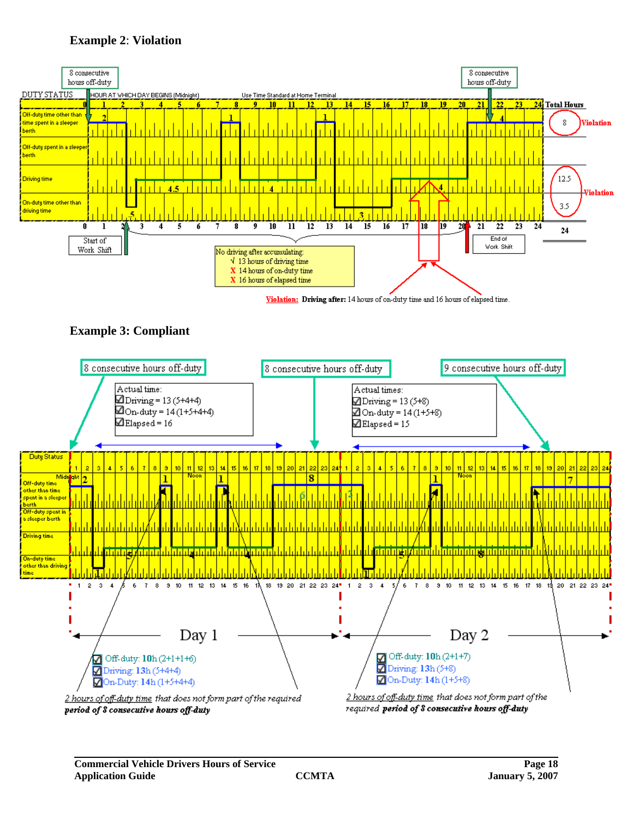# **Example 2**: **Violation**



Violation: Driving after: 14 hours of on-duty time and 16 hours of elapsed time.





period of 8 consecutive hours off-duty

required period of 8 consecutive hours off-duty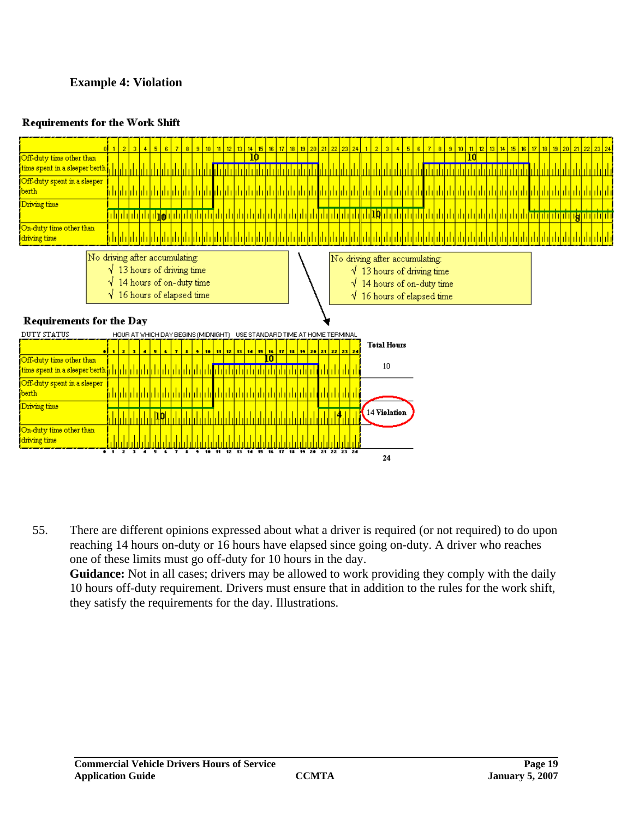# **Example 4: Violation**

#### **Requirements for the Work Shift**



55. There are different opinions expressed about what a driver is required (or not required) to do upon reaching 14 hours on-duty or 16 hours have elapsed since going on-duty. A driver who reaches one of these limits must go off-duty for 10 hours in the day.

**Guidance:** Not in all cases; drivers may be allowed to work providing they comply with the daily 10 hours off-duty requirement. Drivers must ensure that in addition to the rules for the work shift, they satisfy the requirements for the day. Illustrations.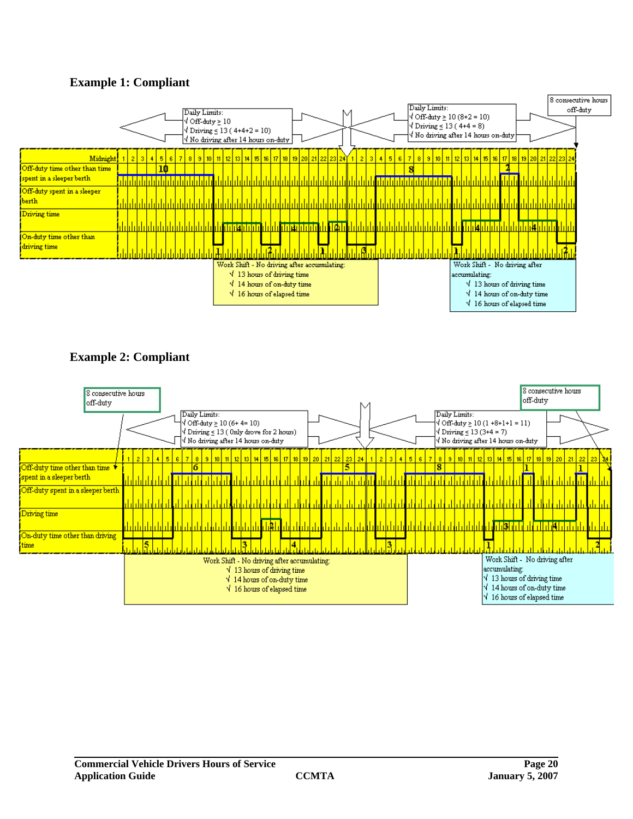# **Example 1: Compliant**



# **Example 2: Compliant**

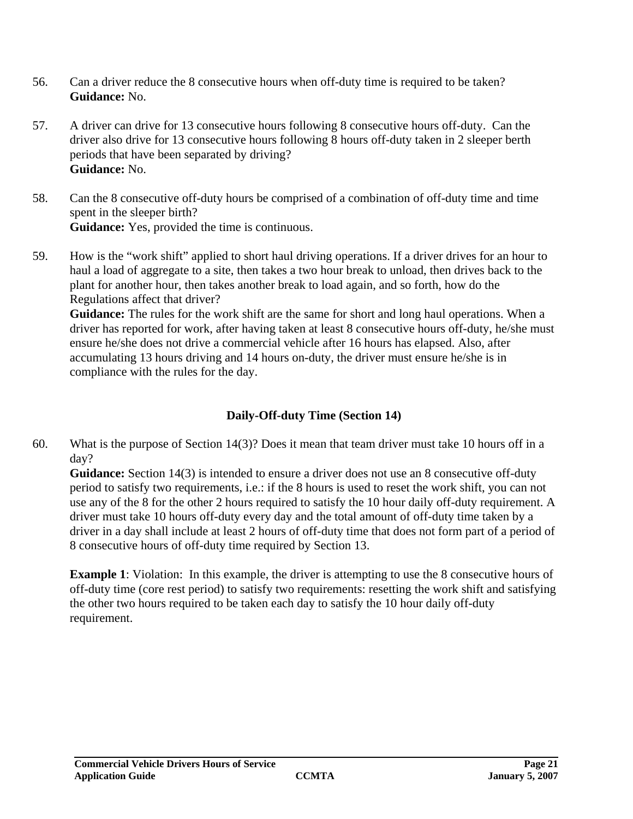- 56. Can a driver reduce the 8 consecutive hours when off-duty time is required to be taken? **Guidance:** No.
- 57. A driver can drive for 13 consecutive hours following 8 consecutive hours off-duty. Can the driver also drive for 13 consecutive hours following 8 hours off-duty taken in 2 sleeper berth periods that have been separated by driving? **Guidance:** No.
- 58. Can the 8 consecutive off-duty hours be comprised of a combination of off-duty time and time spent in the sleeper birth? **Guidance:** Yes, provided the time is continuous.
- 59. How is the "work shift" applied to short haul driving operations. If a driver drives for an hour to haul a load of aggregate to a site, then takes a two hour break to unload, then drives back to the plant for another hour, then takes another break to load again, and so forth, how do the Regulations affect that driver?

**Guidance:** The rules for the work shift are the same for short and long haul operations. When a driver has reported for work, after having taken at least 8 consecutive hours off-duty, he/she must ensure he/she does not drive a commercial vehicle after 16 hours has elapsed. Also, after accumulating 13 hours driving and 14 hours on-duty, the driver must ensure he/she is in compliance with the rules for the day.

# **Daily-Off-duty Time (Section 14)**

60. What is the purpose of Section 14(3)? Does it mean that team driver must take 10 hours off in a day?

**Guidance:** Section 14(3) is intended to ensure a driver does not use an 8 consecutive off-duty period to satisfy two requirements, i.e.: if the 8 hours is used to reset the work shift, you can not use any of the 8 for the other 2 hours required to satisfy the 10 hour daily off-duty requirement. A driver must take 10 hours off-duty every day and the total amount of off-duty time taken by a driver in a day shall include at least 2 hours of off-duty time that does not form part of a period of 8 consecutive hours of off-duty time required by Section 13.

**Example 1**: Violation: In this example, the driver is attempting to use the 8 consecutive hours of off-duty time (core rest period) to satisfy two requirements: resetting the work shift and satisfying the other two hours required to be taken each day to satisfy the 10 hour daily off-duty requirement.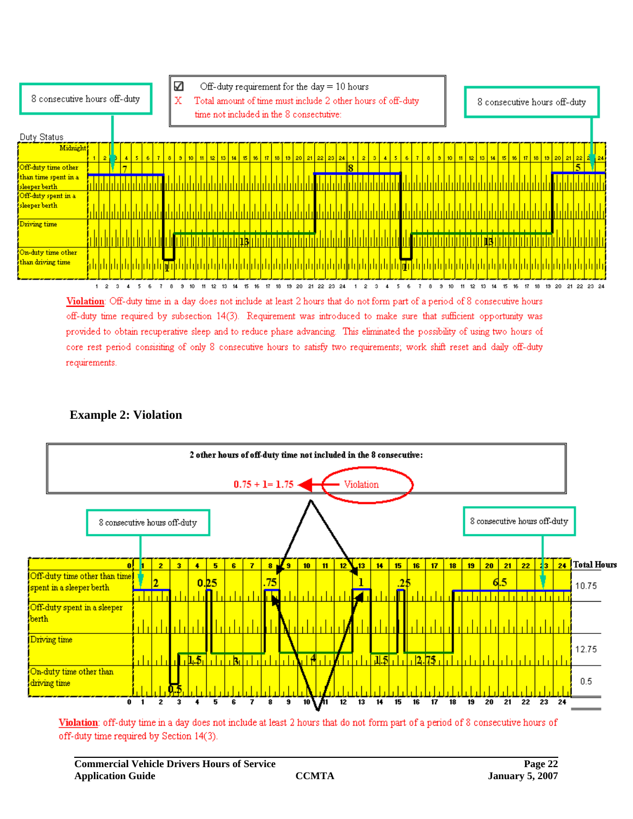

Violation: Off-duty time in a day does not include at least 2 hours that do not form part of a period of 8 consecutive hours off-duty time required by subsection 14(3). Requirement was introduced to make sure that sufficient opportunity was provided to obtain recuperative sleep and to reduce phase advancing. This eliminated the possibility of using two hours of core rest period consisiting of only 8 consecutive hours to satisfy two requirements; work shift reset and daily off-duty requirements.

# **Example 2: Violation**



Violation: off-duty time in a day does not include at least 2 hours that do not form part of a period of 8 consecutive hours of off-duty time required by Section 14(3).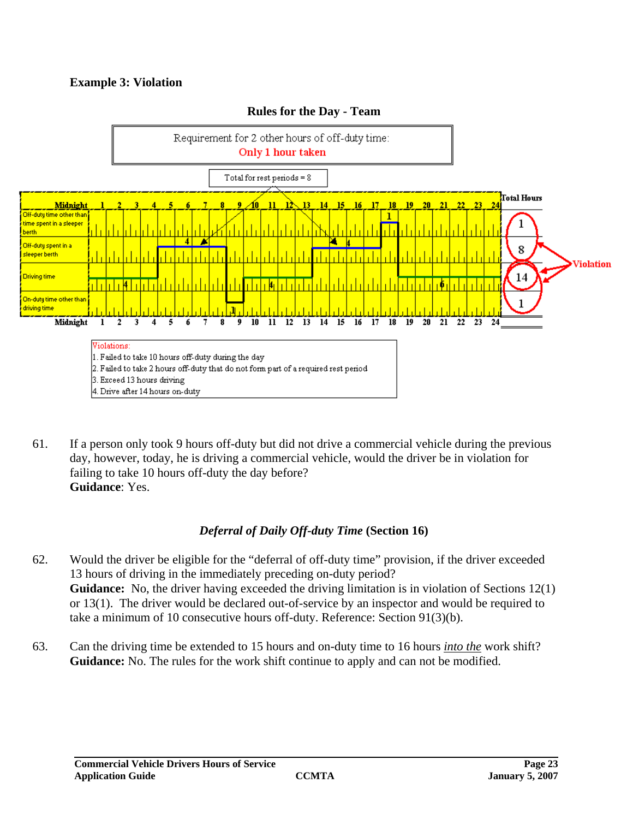# **Example 3: Violation**



#### **Rules for the Day - Team**

61. If a person only took 9 hours off-duty but did not drive a commercial vehicle during the previous day, however, today, he is driving a commercial vehicle, would the driver be in violation for failing to take 10 hours off-duty the day before? **Guidance**: Yes.

# *Deferral of Daily Off-duty Time* **(Section 16)**

- 62. Would the driver be eligible for the "deferral of off-duty time" provision, if the driver exceeded 13 hours of driving in the immediately preceding on-duty period? **Guidance:** No, the driver having exceeded the driving limitation is in violation of Sections 12(1) or 13(1). The driver would be declared out-of-service by an inspector and would be required to take a minimum of 10 consecutive hours off-duty. Reference: Section 91(3)(b).
- 63. Can the driving time be extended to 15 hours and on-duty time to 16 hours *into the* work shift? **Guidance:** No. The rules for the work shift continue to apply and can not be modified.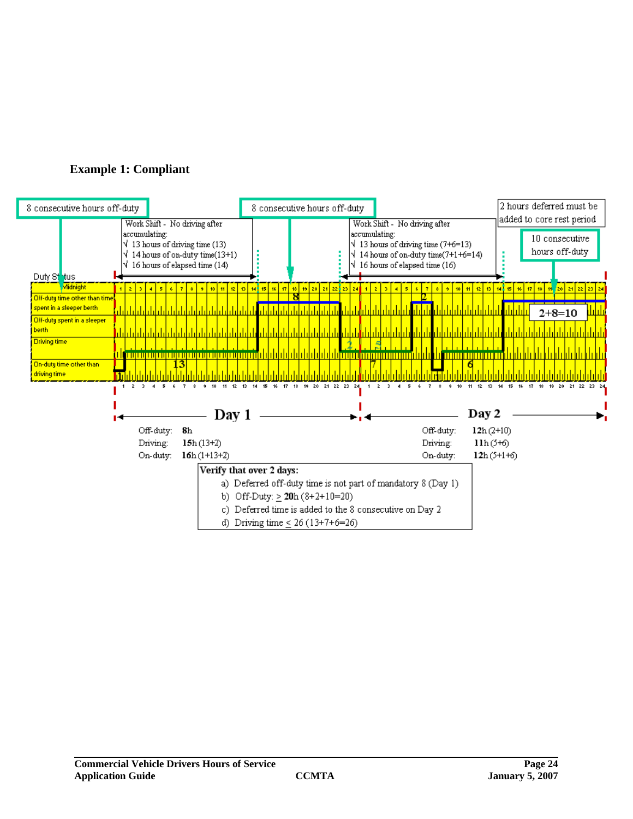

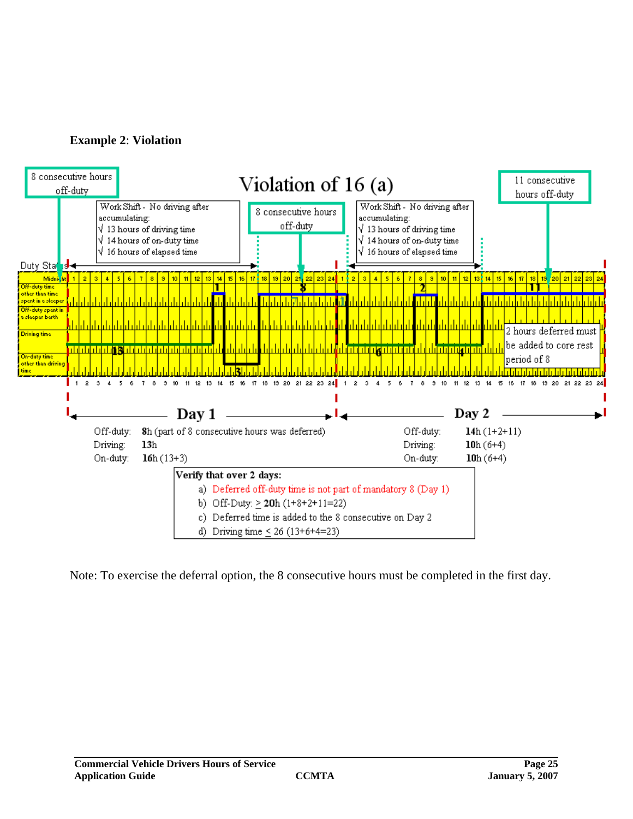



Note: To exercise the deferral option, the 8 consecutive hours must be completed in the first day.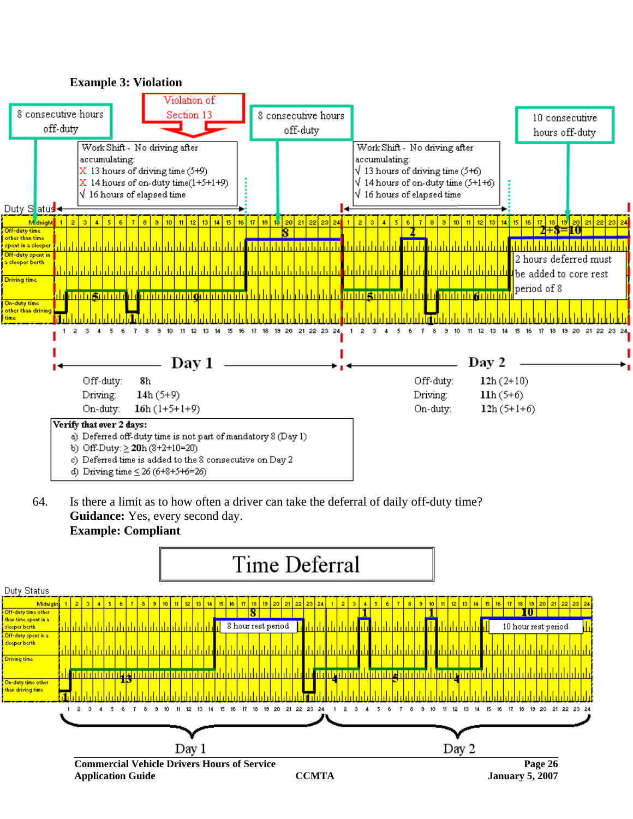

64. Is there a limit as to how often a driver can take the deferral of daily off-duty time? **Guidance:** Yes, every second day. **Example: Compliant**

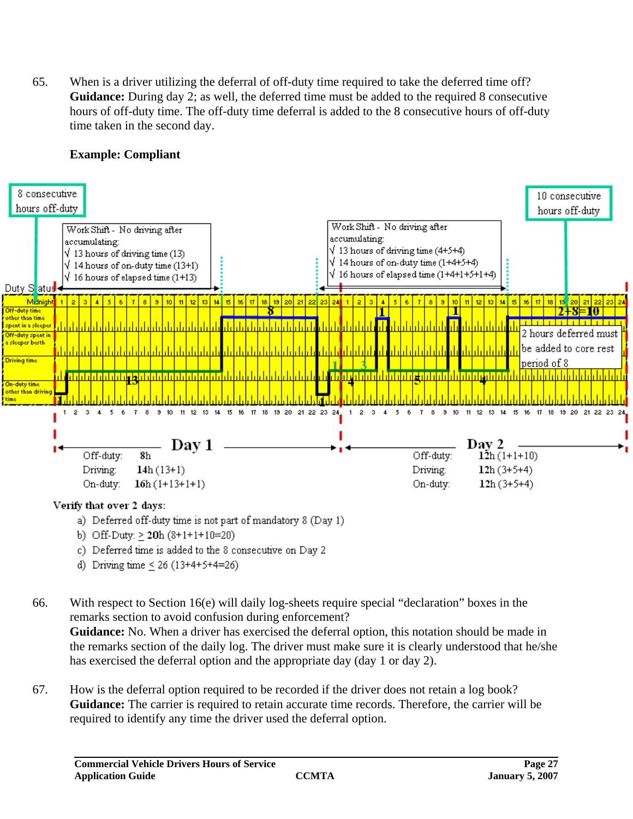65. When is a driver utilizing the deferral of off-duty time required to take the deferred time off? **Guidance:** During day 2; as well, the deferred time must be added to the required 8 consecutive hours of off-duty time. The off-duty time deferral is added to the 8 consecutive hours of off-duty time taken in the second day.

# **Example: Compliant**



- a) Deferred off-duty time is not part of mandatory 8 (Day 1)
- b) Off-Duty:  $> 20h(8+1+1+10=20)$
- c) Deferred time is added to the 8 consecutive on Day 2
- d) Driving time < 26 (13+4+5+4=26)

66. With respect to Section 16(e) will daily log-sheets require special "declaration" boxes in the remarks section to avoid confusion during enforcement? **Guidance:** No. When a driver has exercised the deferral option, this notation should be made in the remarks section of the daily log. The driver must make sure it is clearly understood that he/she has exercised the deferral option and the appropriate day (day 1 or day 2).

67. How is the deferral option required to be recorded if the driver does not retain a log book? **Guidance:** The carrier is required to retain accurate time records. Therefore, the carrier will be required to identify any time the driver used the deferral option.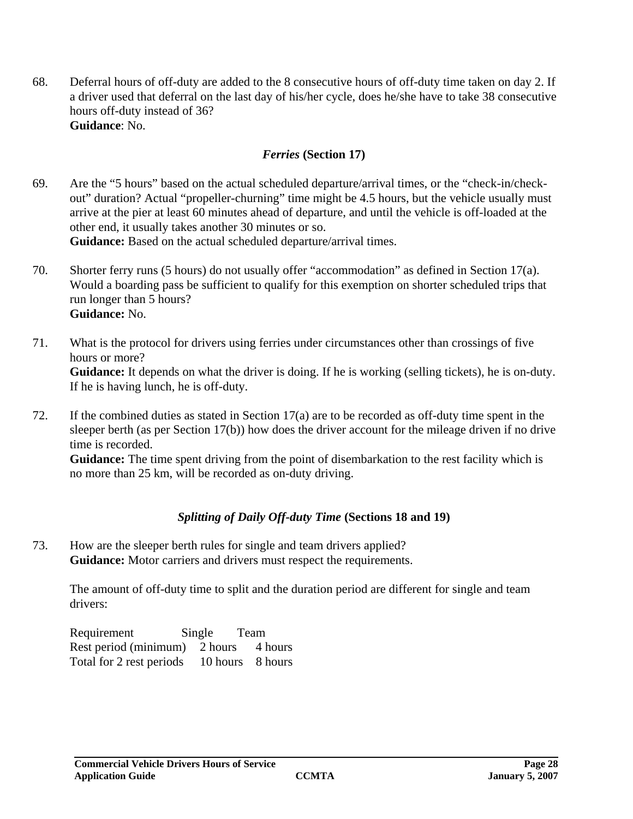68. Deferral hours of off-duty are added to the 8 consecutive hours of off-duty time taken on day 2. If a driver used that deferral on the last day of his/her cycle, does he/she have to take 38 consecutive hours off-duty instead of 36? **Guidance**: No.

# *Ferries* **(Section 17)**

- 69. Are the "5 hours" based on the actual scheduled departure/arrival times, or the "check-in/checkout" duration? Actual "propeller-churning" time might be 4.5 hours, but the vehicle usually must arrive at the pier at least 60 minutes ahead of departure, and until the vehicle is off-loaded at the other end, it usually takes another 30 minutes or so. **Guidance:** Based on the actual scheduled departure/arrival times.
- 70. Shorter ferry runs (5 hours) do not usually offer "accommodation" as defined in Section 17(a). Would a boarding pass be sufficient to qualify for this exemption on shorter scheduled trips that run longer than 5 hours? **Guidance:** No.
- 71. What is the protocol for drivers using ferries under circumstances other than crossings of five hours or more? **Guidance:** It depends on what the driver is doing. If he is working (selling tickets), he is on-duty. If he is having lunch, he is off-duty.
- 72. If the combined duties as stated in Section 17(a) are to be recorded as off-duty time spent in the sleeper berth (as per Section 17(b)) how does the driver account for the mileage driven if no drive time is recorded.

**Guidance:** The time spent driving from the point of disembarkation to the rest facility which is no more than 25 km, will be recorded as on-duty driving.

# *Splitting of Daily Off-duty Time* **(Sections 18 and 19)**

73. How are the sleeper berth rules for single and team drivers applied? **Guidance:** Motor carriers and drivers must respect the requirements.

The amount of off-duty time to split and the duration period are different for single and team drivers:

| Requirement                               | Single Team |  |
|-------------------------------------------|-------------|--|
| Rest period (minimum) 2 hours 4 hours     |             |  |
| Total for 2 rest periods 10 hours 8 hours |             |  |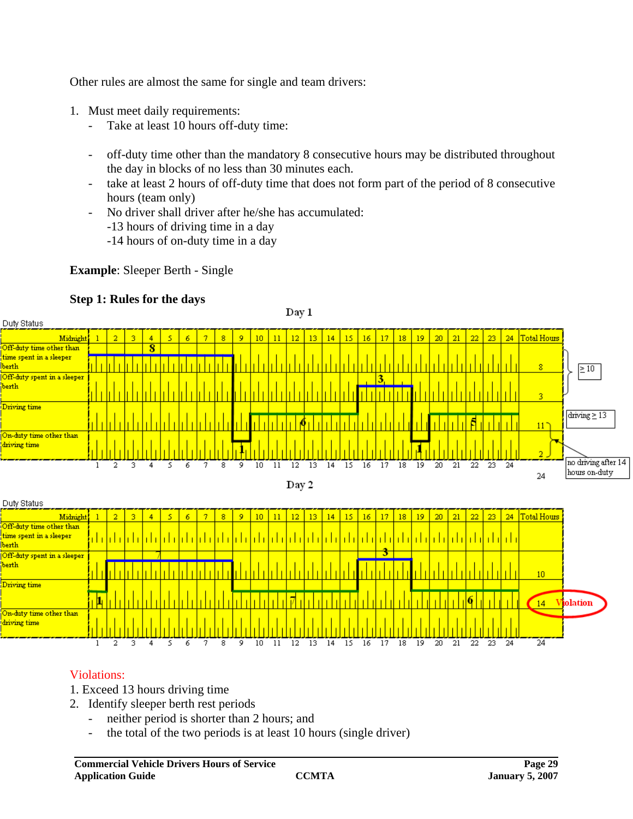Other rules are almost the same for single and team drivers:

- 1. Must meet daily requirements:
	- Take at least 10 hours off-duty time:
	- off-duty time other than the mandatory 8 consecutive hours may be distributed throughout the day in blocks of no less than 30 minutes each.
	- take at least 2 hours of off-duty time that does not form part of the period of 8 consecutive hours (team only)
	- No driver shall driver after he/she has accumulated:
		- -13 hours of driving time in a day
		- -14 hours of on-duty time in a day

#### **Example**: Sleeper Berth - Single

# **Step 1: Rules for the days**



# Violations:

- 1. Exceed 13 hours driving time
- 2. Identify sleeper berth rest periods
	- neither period is shorter than 2 hours; and
	- the total of the two periods is at least 10 hours (single driver)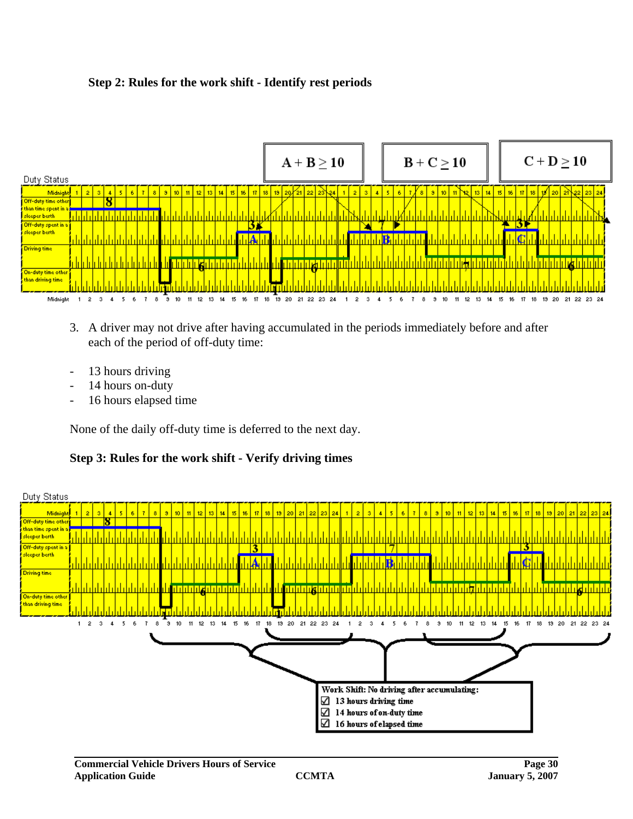#### **Step 2: Rules for the work shift - Identify rest periods**



- 3. A driver may not drive after having accumulated in the periods immediately before and after each of the period of off-duty time:
- 13 hours driving
- 14 hours on-duty
- 16 hours elapsed time

None of the daily off-duty time is deferred to the next day.

**Step 3: Rules for the work shift - Verify driving times**

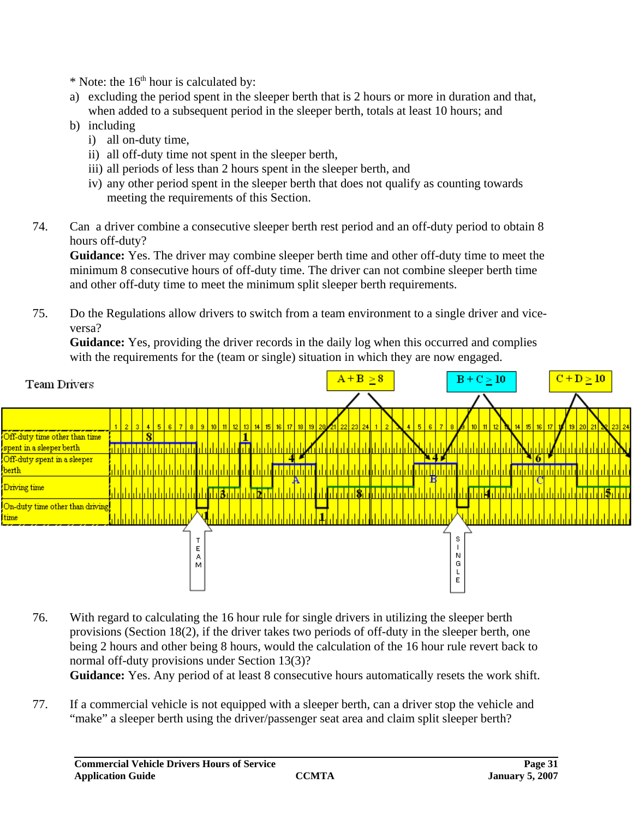$*$  Note: the 16<sup>th</sup> hour is calculated by:

- a) excluding the period spent in the sleeper berth that is 2 hours or more in duration and that, when added to a subsequent period in the sleeper berth, totals at least 10 hours; and
- b) including
	- i) all on-duty time,
	- ii) all off-duty time not spent in the sleeper berth,
	- iii) all periods of less than 2 hours spent in the sleeper berth, and
	- iv) any other period spent in the sleeper berth that does not qualify as counting towards meeting the requirements of this Section.
- 74. Can a driver combine a consecutive sleeper berth rest period and an off-duty period to obtain 8 hours off-duty?

**Guidance:** Yes. The driver may combine sleeper berth time and other off-duty time to meet the minimum 8 consecutive hours of off-duty time. The driver can not combine sleeper berth time and other off-duty time to meet the minimum split sleeper berth requirements.

75. Do the Regulations allow drivers to switch from a team environment to a single driver and viceversa?

Guidance: Yes, providing the driver records in the daily log when this occurred and complies with the requirements for the (team or single) situation in which they are now engaged.



76. With regard to calculating the 16 hour rule for single drivers in utilizing the sleeper berth provisions (Section 18(2), if the driver takes two periods of off-duty in the sleeper berth, one being 2 hours and other being 8 hours, would the calculation of the 16 hour rule revert back to normal off-duty provisions under Section 13(3)? **Guidance:** Yes. Any period of at least 8 consecutive hours automatically resets the work shift.

77. If a commercial vehicle is not equipped with a sleeper berth, can a driver stop the vehicle and "make" a sleeper berth using the driver/passenger seat area and claim split sleeper berth?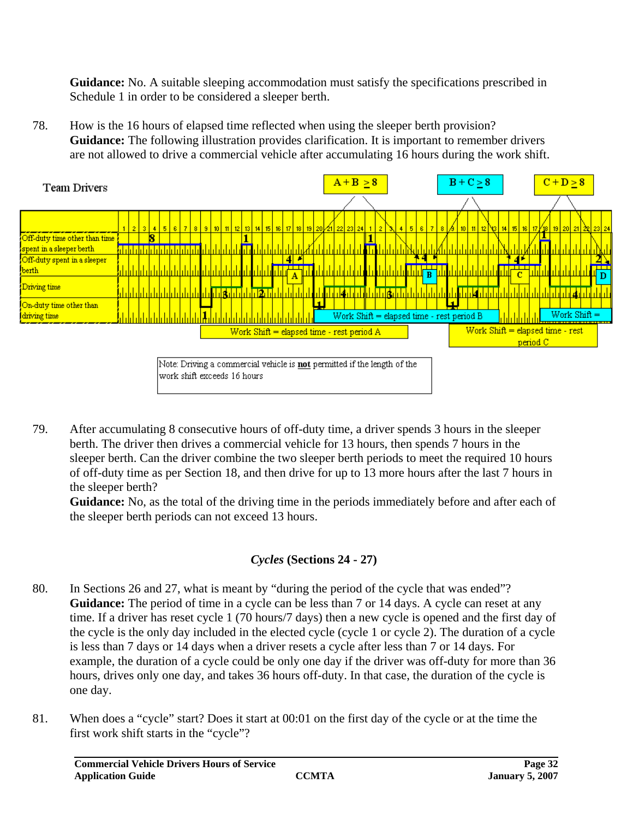**Guidance:** No. A suitable sleeping accommodation must satisfy the specifications prescribed in Schedule 1 in order to be considered a sleeper berth.

78. How is the 16 hours of elapsed time reflected when using the sleeper berth provision? **Guidance:** The following illustration provides clarification. It is important to remember drivers are not allowed to drive a commercial vehicle after accumulating 16 hours during the work shift.



Note: Driving a commercial vehicle is not permitted if the length of the work shift exceeds 16 hours

79. After accumulating 8 consecutive hours of off-duty time, a driver spends 3 hours in the sleeper berth. The driver then drives a commercial vehicle for 13 hours, then spends 7 hours in the sleeper berth. Can the driver combine the two sleeper berth periods to meet the required 10 hours of off-duty time as per Section 18, and then drive for up to 13 more hours after the last 7 hours in the sleeper berth?

**Guidance:** No, as the total of the driving time in the periods immediately before and after each of the sleeper berth periods can not exceed 13 hours.

# *Cycles* **(Sections 24 - 27)**

- 80. In Sections 26 and 27, what is meant by "during the period of the cycle that was ended"? **Guidance:** The period of time in a cycle can be less than 7 or 14 days. A cycle can reset at any time. If a driver has reset cycle 1 (70 hours/7 days) then a new cycle is opened and the first day of the cycle is the only day included in the elected cycle (cycle 1 or cycle 2). The duration of a cycle is less than 7 days or 14 days when a driver resets a cycle after less than 7 or 14 days. For example, the duration of a cycle could be only one day if the driver was off-duty for more than 36 hours, drives only one day, and takes 36 hours off-duty. In that case, the duration of the cycle is one day.
- 81. When does a "cycle" start? Does it start at 00:01 on the first day of the cycle or at the time the first work shift starts in the "cycle"?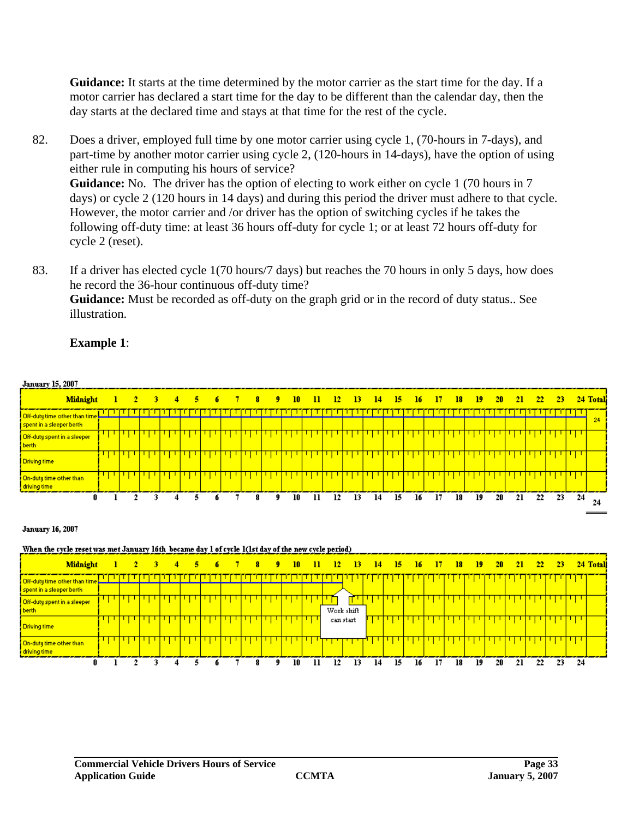**Guidance:** It starts at the time determined by the motor carrier as the start time for the day. If a motor carrier has declared a start time for the day to be different than the calendar day, then the day starts at the declared time and stays at that time for the rest of the cycle.

- 82. Does a driver, employed full time by one motor carrier using cycle 1, (70-hours in 7-days), and part-time by another motor carrier using cycle 2, (120-hours in 14-days), have the option of using either rule in computing his hours of service? Guidance: No. The driver has the option of electing to work either on cycle 1 (70 hours in 7 days) or cycle 2 (120 hours in 14 days) and during this period the driver must adhere to that cycle. However, the motor carrier and /or driver has the option of switching cycles if he takes the following off-duty time: at least 36 hours off-duty for cycle 1; or at least 72 hours off-duty for cycle 2 (reset).
- 83. If a driver has elected cycle 1(70 hours/7 days) but reaches the 70 hours in only 5 days, how does he record the 36-hour continuous off-duty time? **Guidance:** Must be recorded as off-duty on the graph grid or in the record of duty status.. See illustration.

January 15, 2007 Midnight  $\mathbf{I}$  $\overline{2}$  $\overline{5}$ 7  $\overline{\mathbf{8}}$ 9  $10$  $12$ 20 24 Total 3  $\overline{4}$  $\overline{6}$  $\overline{\mathbf{H}}$  $\overline{13}$ 14  $15$ 16  $17$  $18$ 19 21 22 -23 Off-dutu time other than time 24 spent in a sleeper berth Ч Off-duty spent in a sleeper berth П П П П Ч ग प П П П П Ч Ч П ч  $\mathbf{1}$ ч Ч п Driving time T On-dutu time other than drivina time n  $\overline{1}$  $\overline{2}$ 3  $\overline{4}$  $\overline{\mathbf{s}}$ ń  $\overline{\tau}$  $\overline{\mathbf{8}}$  $\overline{9}$  $\overline{10}$  $\overline{\mathbf{1}}$  $12$ 13  $14$  $15$  $16$  $17$ 18  $19$  $20$  $21$ 22 23 24 24 **January 16, 2007** When the cycle reset was met January 16th became day 1 of cycle 1(1st day of the new cycle period)  $\mathbf{I}$  $\overline{2}$  $\overline{\mathbf{s}}$ 6  $\overline{7}$ ø  $10$  $12$ 13 Midnight  $\overline{A}$  $\mathbf{Q}$  $\overline{\mathbf{u}}$ 14 15 16  $17$ 18 19  $20$  $21$ 22 24 Total 23 TΠ Off-duty time other than time spent in a sleeper berth

#### **Example 1**:

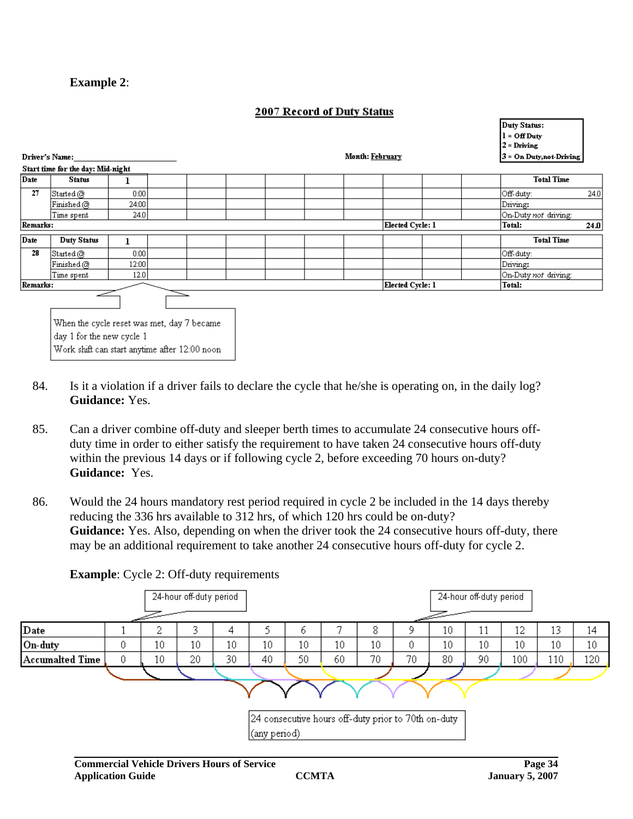#### **Example 2**:

#### 2007 Record of Duty Status

|             |                                                                                                                          |       |  |  |                  | $1 - QH$ Duty<br>$2$ = Driving |      |
|-------------|--------------------------------------------------------------------------------------------------------------------------|-------|--|--|------------------|--------------------------------|------|
|             | Driver's Name:                                                                                                           |       |  |  | Month: February  | $3$ = On Duty, not-Driving     |      |
|             | Start time for the day: Mid-night                                                                                        |       |  |  |                  |                                |      |
| <b>Date</b> | <b>Status</b>                                                                                                            |       |  |  |                  | <b>Total Time</b>              |      |
| 27          | $ \text{Student@} $                                                                                                      | 0:00  |  |  |                  | Off-duty:                      | 24.0 |
|             | Finished @                                                                                                               | 24:00 |  |  |                  | Driving:                       |      |
|             | Time spent                                                                                                               | 24.0  |  |  |                  | On-Duty not driving:           |      |
| Remarks:    |                                                                                                                          |       |  |  | Elected Cycle: 1 | Total:                         | 24.0 |
| Date        | <b>Duty Status</b>                                                                                                       |       |  |  |                  | <b>Total Time</b>              |      |
| 28          | $ \text{Student@} $                                                                                                      | 0:00  |  |  |                  | Off-duty:                      |      |
|             | Finished @                                                                                                               | 12:00 |  |  |                  | Driving:                       |      |
|             | Time spent                                                                                                               | 12.0  |  |  |                  | On-Duty not driving:           |      |
| Remarks:    |                                                                                                                          |       |  |  | Elected Cycle: 1 | Total:                         |      |
|             | When the cycle reset was met, day 7 became<br>day 1 for the new cycle 1<br>Work shift can start anytime after 12:00 noon |       |  |  |                  |                                |      |

- 84. Is it a violation if a driver fails to declare the cycle that he/she is operating on, in the daily log? **Guidance:** Yes.
- 85. Can a driver combine off-duty and sleeper berth times to accumulate 24 consecutive hours offduty time in order to either satisfy the requirement to have taken 24 consecutive hours off-duty within the previous 14 days or if following cycle 2, before exceeding 70 hours on-duty? **Guidance:** Yes.
- 86. Would the 24 hours mandatory rest period required in cycle 2 be included in the 14 days thereby reducing the 336 hrs available to 312 hrs, of which 120 hrs could be on-duty? **Guidance:** Yes. Also, depending on when the driver took the 24 consecutive hours off-duty, there may be an additional requirement to take another 24 consecutive hours off-duty for cycle 2.

#### 24-hour off-duty period 24-hour off-duty period Date 2 3  $\overline{4}$ 7 8 9  $10<sup>°</sup>$ 12 13  $\mathbf{1}$ 5 6 11  $14$  $10$  $10<sup>10</sup>$  $10<sup>10</sup>$  $10<sup>10</sup>$  $10<sup>°</sup>$  $\overline{0}$  $10<sup>10</sup>$ On-dutv  $\theta$  $10<sup>10</sup>$  $10<sup>10</sup>$  $10<sup>°</sup>$  $10<sup>°</sup>$  $10<sup>°</sup>$  $10<sup>°</sup>$ Accumalted Time  $\mathbf 0$  $10$ 20 30 40 50 60 70 70 80 90 100 110 120 24 consecutive hours off-duty prior to 70th on-duty (any period)

#### **Example:** Cycle 2: Off-duty requirements

Duty Status: المتموم بال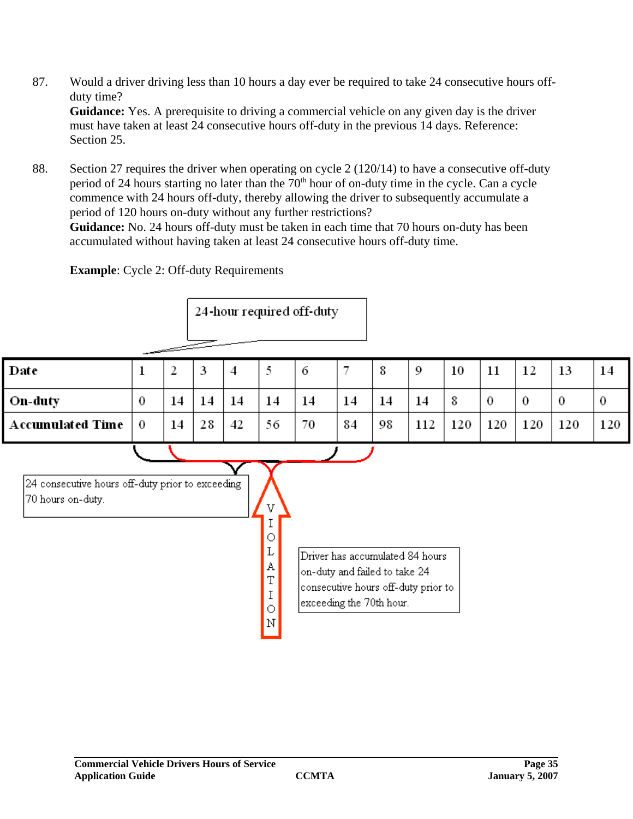- 87. Would a driver driving less than 10 hours a day ever be required to take 24 consecutive hours offduty time? **Guidance:** Yes. A prerequisite to driving a commercial vehicle on any given day is the driver must have taken at least 24 consecutive hours off-duty in the previous 14 days. Reference: Section 25.
- 88. Section 27 requires the driver when operating on cycle 2 (120/14) to have a consecutive off-duty period of 24 hours starting no later than the  $70<sup>th</sup>$  hour of on-duty time in the cycle. Can a cycle commence with 24 hours off-duty, thereby allowing the driver to subsequently accumulate a period of 120 hours on-duty without any further restrictions?

**Guidance:** No. 24 hours off-duty must be taken in each time that 70 hours on-duty has been accumulated without having taken at least 24 consecutive hours off-duty time.

**Example**: Cycle 2: Off-duty Requirements

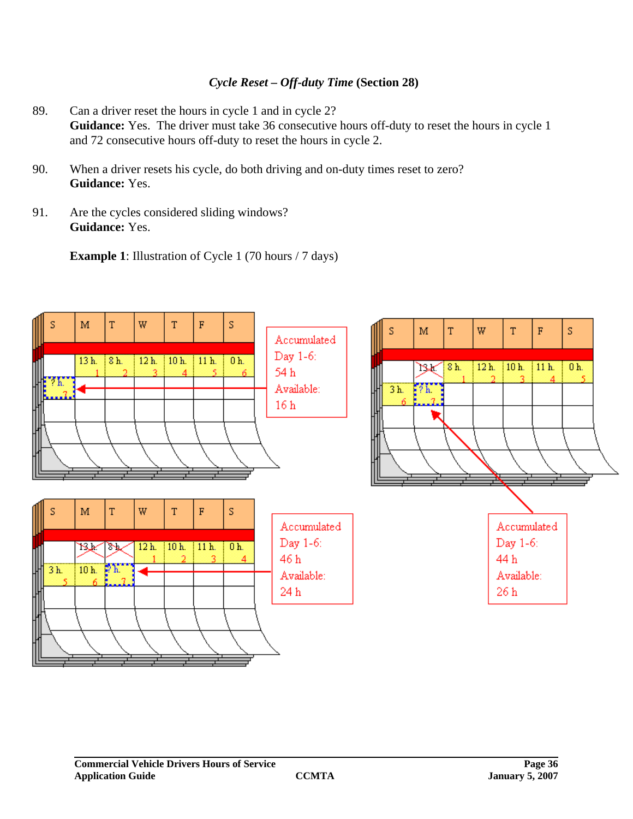#### *Cycle Reset – Off-duty Time* **(Section 28)**

- 89. Can a driver reset the hours in cycle 1 and in cycle 2? Guidance: Yes. The driver must take 36 consecutive hours off-duty to reset the hours in cycle 1 and 72 consecutive hours off-duty to reset the hours in cycle 2.
- 90. When a driver resets his cycle, do both driving and on-duty times reset to zero? **Guidance:** Yes.
- 91. Are the cycles considered sliding windows? **Guidance:** Yes.

**Example 1**: Illustration of Cycle 1 (70 hours / 7 days)

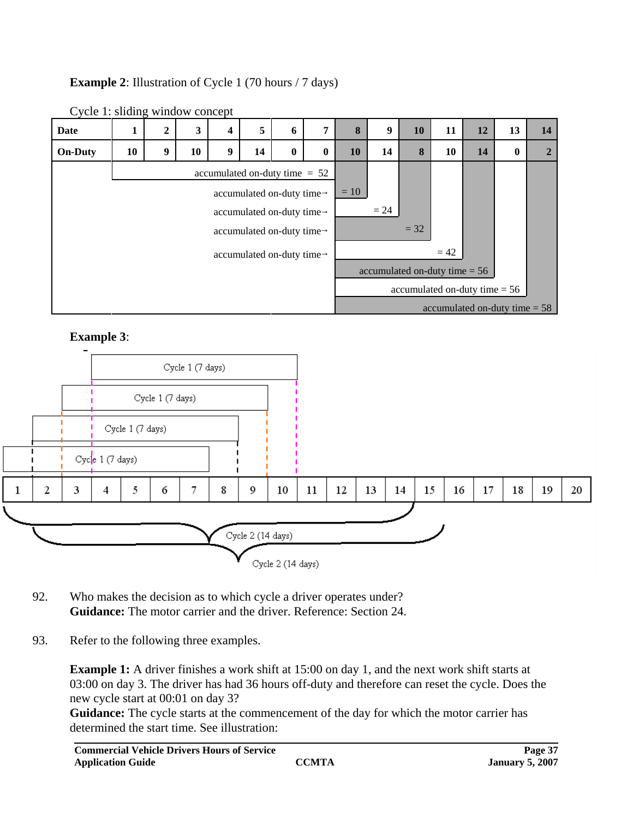# **Example 2:** Illustration of Cycle 1 (70 hours / 7 days)



Cycle 1: sliding window concept

# **Example 3**:



- 92. Who makes the decision as to which cycle a driver operates under? **Guidance:** The motor carrier and the driver. Reference: Section 24.
- 93. Refer to the following three examples.

**Example 1:** A driver finishes a work shift at 15:00 on day 1, and the next work shift starts at 03:00 on day 3. The driver has had 36 hours off-duty and therefore can reset the cycle. Does the new cycle start at 00:01 on day 3?

**Guidance:** The cycle starts at the commencement of the day for which the motor carrier has determined the start time. See illustration: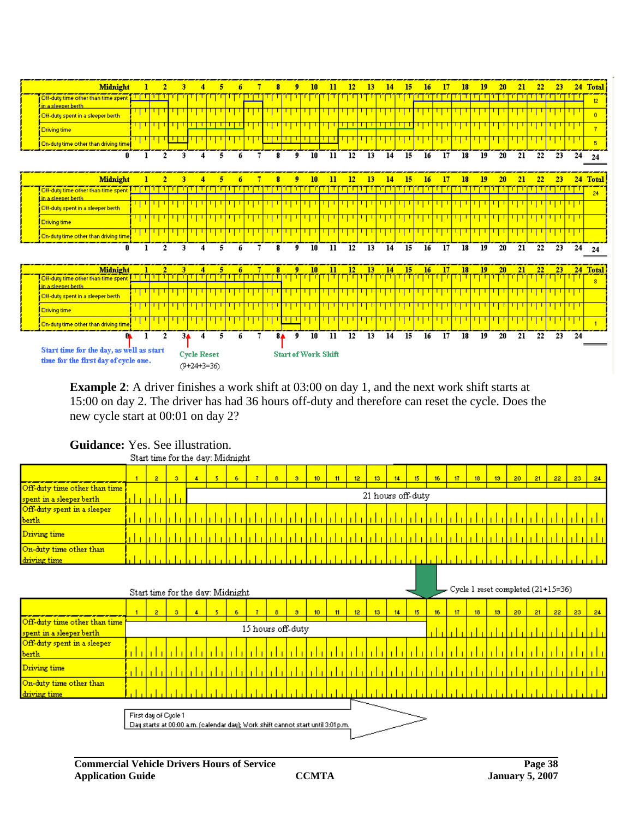

**Example 2**: A driver finishes a work shift at 03:00 on day 1, and the next work shift starts at 15:00 on day 2. The driver has had 36 hours off-duty and therefore can reset the cycle. Does the new cycle start at 00:01 on day 2?

|                               | . |       |  |  |                   |     |  |     |    |                 |    |        |                 |        |    |        |         |         |                 |        |       |                 |    |    |
|-------------------------------|---|-------|--|--|-------------------|-----|--|-----|----|-----------------|----|--------|-----------------|--------|----|--------|---------|---------|-----------------|--------|-------|-----------------|----|----|
|                               |   | $2 -$ |  |  |                   | -6. |  | -81 | э. | 10 <sub>1</sub> | 11 | $12 -$ | 13 <sup>7</sup> | $14 -$ | 15 | $16 -$ | $17-17$ | $18-18$ | 13 <sup>°</sup> | $20 -$ | $-21$ | 22 <sup>1</sup> | 23 | 24 |
| Off-duty time other than time |   |       |  |  |                   |     |  |     |    |                 |    |        |                 |        |    |        |         |         |                 |        |       |                 |    |    |
| spent in a sleeper berth      |   |       |  |  | 21 hours off-duty |     |  |     |    |                 |    |        |                 |        |    |        |         |         |                 |        |       |                 |    |    |
| Off-duty spent in a sleeper   |   |       |  |  |                   |     |  |     |    |                 |    |        |                 |        |    |        |         |         |                 |        |       |                 |    |    |
| berth                         |   |       |  |  |                   |     |  |     |    |                 |    |        |                 |        |    |        |         |         |                 |        |       |                 |    |    |
| Driving time                  |   |       |  |  |                   |     |  |     |    |                 |    |        |                 |        |    |        |         |         |                 |        |       |                 |    |    |
| On-duty time other than       |   |       |  |  |                   |     |  |     |    |                 |    |        |                 |        |    |        |         |         |                 |        |       |                 |    |    |
| driving time                  |   |       |  |  |                   |     |  |     |    |                 |    |        |                 |        |    |        |         |         |                 |        |       |                 |    |    |

# **Guidance:** Yes. See illustration.<br>Start time for the day: Midnight

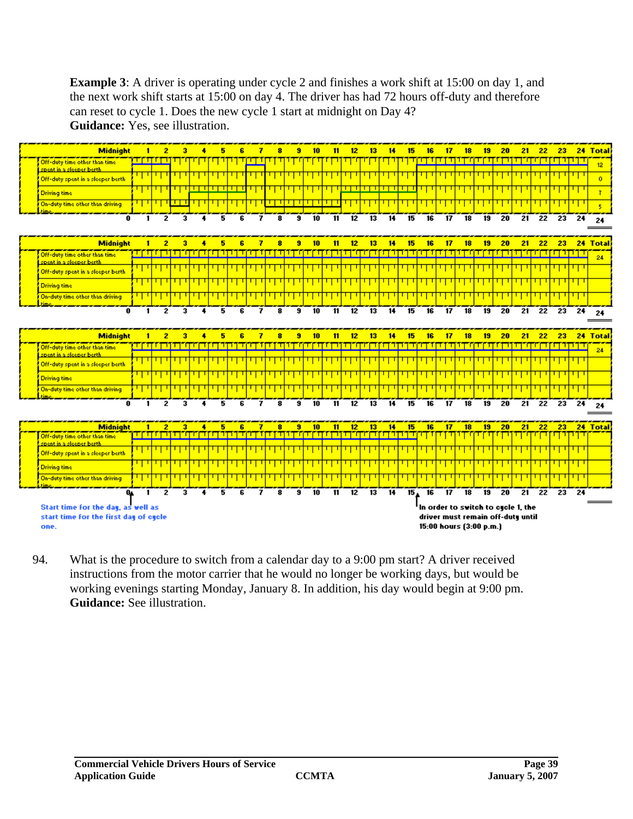**Example 3**: A driver is operating under cycle 2 and finishes a work shift at 15:00 on day 1, and the next work shift starts at 15:00 on day 4. The driver has had 72 hours off-duty and therefore can reset to cycle 1. Does the new cycle 1 start at midnight on Day 4? **Guidance:** Yes, see illustration.



94. What is the procedure to switch from a calendar day to a 9:00 pm start? A driver received instructions from the motor carrier that he would no longer be working days, but would be working evenings starting Monday, January 8. In addition, his day would begin at 9:00 pm. **Guidance:** See illustration.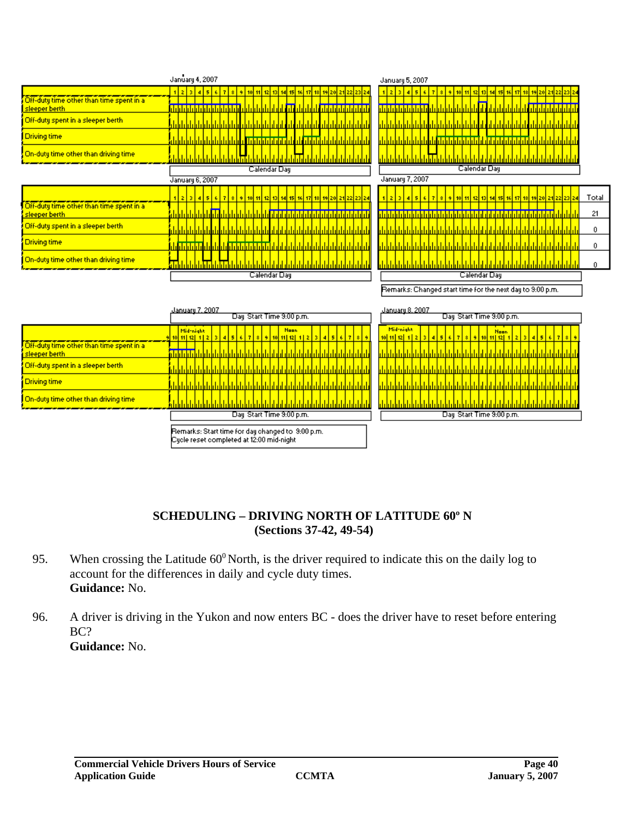|                                                                                                                                                               | January 4, 2007                                                                                                                                                                                                                                                                   | January 5, 2007                                                                                                                                                                            |             |
|---------------------------------------------------------------------------------------------------------------------------------------------------------------|-----------------------------------------------------------------------------------------------------------------------------------------------------------------------------------------------------------------------------------------------------------------------------------|--------------------------------------------------------------------------------------------------------------------------------------------------------------------------------------------|-------------|
| Off-duty time other than time spent in a<br>sleeper berth<br>Off-duty spent in a sleeper berth<br><b>Driving time</b><br>On-duty time other than driving time | 123456<br><u>  7   8   9   10  11 </u><br>12 13<br>14<br>151<br>24<br><u>n Inisi di Inisi di Inisi di Inisi di Inisi di Inisi di Inisi Antal</u><br><u>dalah kalah tahun bilah da</u><br>dahalahalaha a<br>ш<br>i I i I i I i I i I i I<br><u>ılılılılılılılı</u><br>Calendar Day | <u>hizisi eisikizi</u><br>911011112<br>$\bullet$<br>13 14<br>15<br>16<br><u>ilililililililililililililililililili</u><br><u>dah belah belah belah belah dalam belah be</u><br>Calendar Day |             |
|                                                                                                                                                               | January 6, 2007                                                                                                                                                                                                                                                                   | January 7, 2007                                                                                                                                                                            |             |
| Off-duty time other than time spent in a<br>sleeper berth                                                                                                     | 15 <sup>1</sup><br>123<br>$\vert$<br>s.<br>A.<br>12113<br>16 17<br>  10   11  <br>14<br>23 24                                                                                                                                                                                     | 17<br>15                                                                                                                                                                                   | Total<br>21 |
| Off-duty spent in a sleeper berth                                                                                                                             |                                                                                                                                                                                                                                                                                   |                                                                                                                                                                                            | 0           |
| <b>Driving time</b>                                                                                                                                           | <u>In alah lahir bin bin bin bin bin bin bin bin bin</u>                                                                                                                                                                                                                          |                                                                                                                                                                                            | 0           |
| On-duty time other than driving time                                                                                                                          | s <mark>an ah ah ah ama ah ama</mark> ah                                                                                                                                                                                                                                          |                                                                                                                                                                                            | 0           |
|                                                                                                                                                               | Calendar Day                                                                                                                                                                                                                                                                      | Calendar Day                                                                                                                                                                               |             |
|                                                                                                                                                               |                                                                                                                                                                                                                                                                                   | Remarks: Changed start time for the next day to 9:00 p.m.                                                                                                                                  |             |
|                                                                                                                                                               | January 7, 2007<br>Day Start Time 9:00 p.m.                                                                                                                                                                                                                                       | January 8, 2007<br>Day Start Time 9:00 p.m.                                                                                                                                                |             |
|                                                                                                                                                               | Mid-night<br><b>Noon</b><br><u>  11   12   1   2   3   4   5   6   7  </u><br>9 10 11 12 1 2 3 4 5 6 7<br>g.<br>-91<br>зI<br>10                                                                                                                                                   | Mid-night<br><b>Noon</b><br>$\frac{10 11 12 12 12 3 4 5 }{10 11 12 12 12 3 4 5 }$<br>10 11 12 1 2 3<br>$\sim$<br>17<br>14.<br>5                                                            |             |
| Off-duty time other than time spent in a<br>sleeper berth                                                                                                     |                                                                                                                                                                                                                                                                                   |                                                                                                                                                                                            |             |
| Off-duty spent in a sleeper berth                                                                                                                             |                                                                                                                                                                                                                                                                                   |                                                                                                                                                                                            |             |
| Driving time                                                                                                                                                  |                                                                                                                                                                                                                                                                                   |                                                                                                                                                                                            |             |
| On-duty time other than driving time                                                                                                                          |                                                                                                                                                                                                                                                                                   | <u>tılı tılı tılı tılı tılı tılı tılı t</u><br><u>Irldridridridridridridridri</u>                                                                                                          |             |
|                                                                                                                                                               | Day Start Time 9:00 p.m.                                                                                                                                                                                                                                                          | Day Start Time 9:00 p.m.                                                                                                                                                                   |             |
|                                                                                                                                                               | Remarks: Start time for day changed to 9:00 p.m.<br>Cycle reset completed at 12:00 mid-night                                                                                                                                                                                      |                                                                                                                                                                                            |             |

#### **SCHEDULING – DRIVING NORTH OF LATITUDE 60º N (Sections 37-42, 49-54)**

- 95. When crossing the Latitude  $60^{\circ}$  North, is the driver required to indicate this on the daily log to account for the differences in daily and cycle duty times. **Guidance:** No.
- 96. A driver is driving in the Yukon and now enters BC does the driver have to reset before entering BC? **Guidance:** No.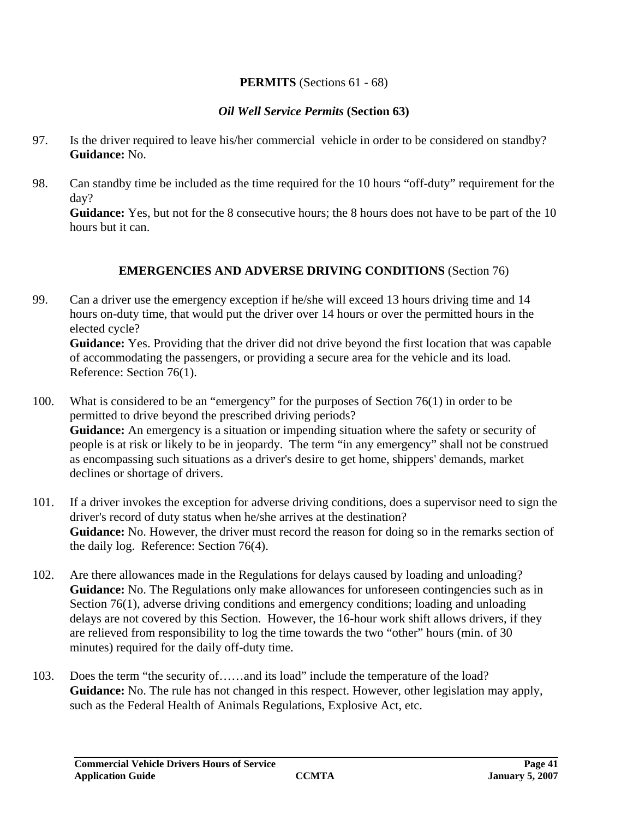#### **PERMITS** (Sections 61 - 68)

#### *Oil Well Service Permits* **(Section 63)**

- 97. Is the driver required to leave his/her commercial vehicle in order to be considered on standby? **Guidance:** No.
- 98. Can standby time be included as the time required for the 10 hours "off-duty" requirement for the day?

**Guidance:** Yes, but not for the 8 consecutive hours; the 8 hours does not have to be part of the 10 hours but it can.

#### **EMERGENCIES AND ADVERSE DRIVING CONDITIONS** (Section 76)

99. Can a driver use the emergency exception if he/she will exceed 13 hours driving time and 14 hours on-duty time, that would put the driver over 14 hours or over the permitted hours in the elected cycle?

**Guidance:** Yes. Providing that the driver did not drive beyond the first location that was capable of accommodating the passengers, or providing a secure area for the vehicle and its load. Reference: Section 76(1).

- 100. What is considered to be an "emergency" for the purposes of Section 76(1) in order to be permitted to drive beyond the prescribed driving periods? **Guidance:** An emergency is a situation or impending situation where the safety or security of people is at risk or likely to be in jeopardy. The term "in any emergency" shall not be construed as encompassing such situations as a driver's desire to get home, shippers' demands, market declines or shortage of drivers.
- 101. If a driver invokes the exception for adverse driving conditions, does a supervisor need to sign the driver's record of duty status when he/she arrives at the destination? **Guidance:** No. However, the driver must record the reason for doing so in the remarks section of the daily log. Reference: Section 76(4).
- 102. Are there allowances made in the Regulations for delays caused by loading and unloading? **Guidance:** No. The Regulations only make allowances for unforeseen contingencies such as in Section 76(1), adverse driving conditions and emergency conditions; loading and unloading delays are not covered by this Section. However, the 16-hour work shift allows drivers, if they are relieved from responsibility to log the time towards the two "other" hours (min. of 30 minutes) required for the daily off-duty time.
- 103. Does the term "the security of……and its load" include the temperature of the load? **Guidance:** No. The rule has not changed in this respect. However, other legislation may apply, such as the Federal Health of Animals Regulations, Explosive Act, etc.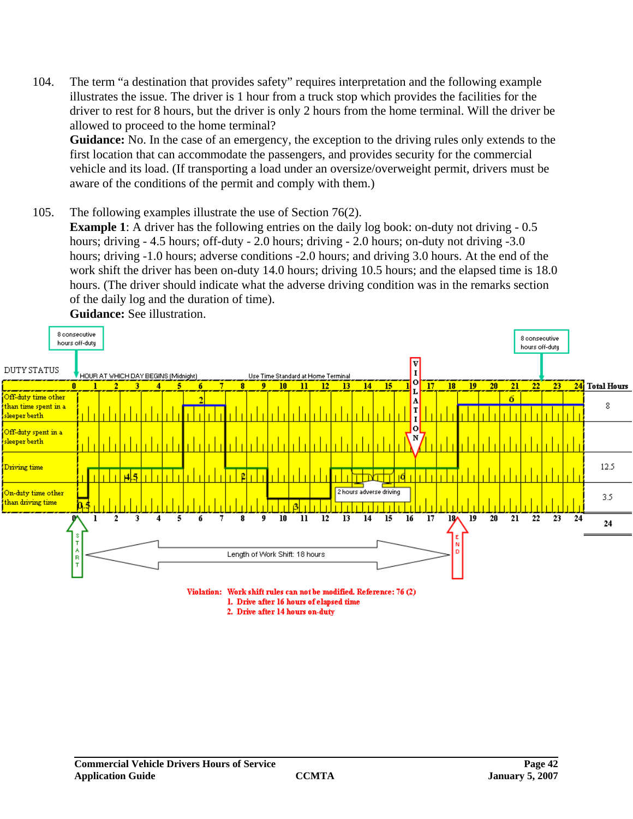104. The term "a destination that provides safety" requires interpretation and the following example illustrates the issue. The driver is 1 hour from a truck stop which provides the facilities for the driver to rest for 8 hours, but the driver is only 2 hours from the home terminal. Will the driver be allowed to proceed to the home terminal?

**Guidance:** No. In the case of an emergency, the exception to the driving rules only extends to the first location that can accommodate the passengers, and provides security for the commercial vehicle and its load. (If transporting a load under an oversize/overweight permit, drivers must be aware of the conditions of the permit and comply with them.)

105. The following examples illustrate the use of Section 76(2). **Example 1**: A driver has the following entries on the daily log book: on-duty not driving - 0.5 hours; driving - 4.5 hours; off-duty - 2.0 hours; driving - 2.0 hours; on-duty not driving -3.0 hours; driving -1.0 hours; adverse conditions -2.0 hours; and driving 3.0 hours. At the end of the work shift the driver has been on-duty 14.0 hours; driving 10.5 hours; and the elapsed time is 18.0 hours. (The driver should indicate what the adverse driving condition was in the remarks section of the daily log and the duration of time). **Guidance:** See illustration.



1. Drive after 16 hours of elapsed time

2. Drive after 14 hours on-duty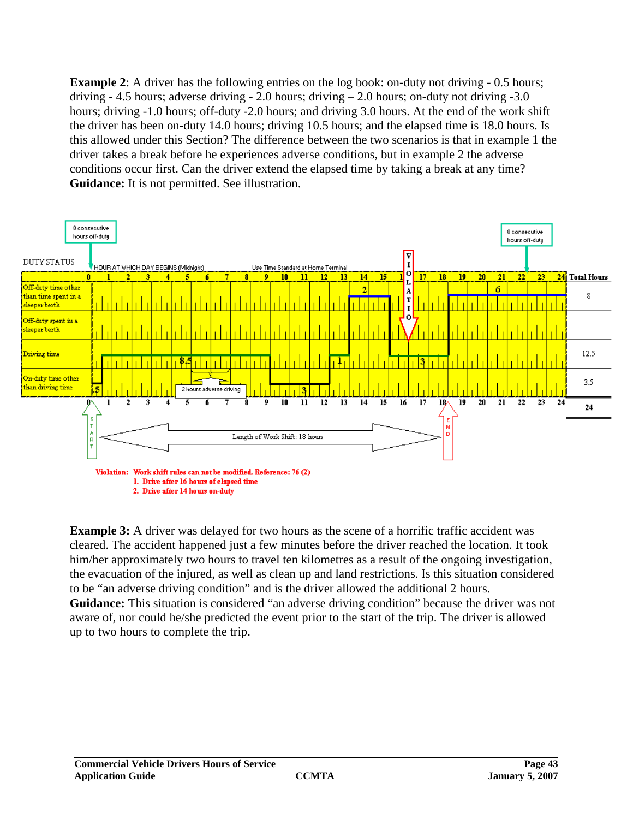**Example 2**: A driver has the following entries on the log book: on-duty not driving - 0.5 hours; driving  $-4.5$  hours; adverse driving  $-2.0$  hours; driving  $-2.0$  hours; on-duty not driving  $-3.0$ hours; driving -1.0 hours; off-duty -2.0 hours; and driving 3.0 hours. At the end of the work shift the driver has been on-duty 14.0 hours; driving 10.5 hours; and the elapsed time is 18.0 hours. Is this allowed under this Section? The difference between the two scenarios is that in example 1 the driver takes a break before he experiences adverse conditions, but in example 2 the adverse conditions occur first. Can the driver extend the elapsed time by taking a break at any time? **Guidance:** It is not permitted. See illustration.



**Example 3:** A driver was delayed for two hours as the scene of a horrific traffic accident was cleared. The accident happened just a few minutes before the driver reached the location. It took him/her approximately two hours to travel ten kilometres as a result of the ongoing investigation, the evacuation of the injured, as well as clean up and land restrictions. Is this situation considered to be "an adverse driving condition" and is the driver allowed the additional 2 hours. **Guidance:** This situation is considered "an adverse driving condition" because the driver was not aware of, nor could he/she predicted the event prior to the start of the trip. The driver is allowed up to two hours to complete the trip.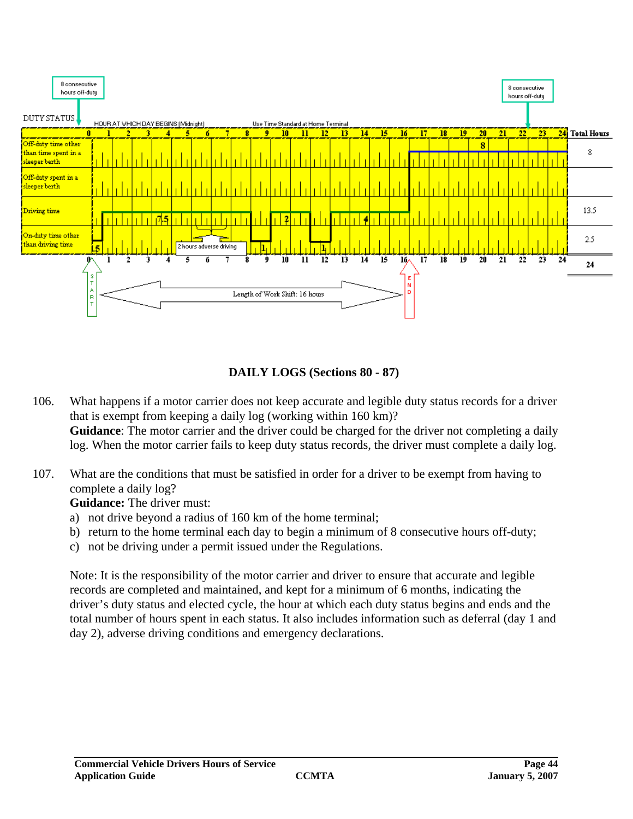



- 106. What happens if a motor carrier does not keep accurate and legible duty status records for a driver that is exempt from keeping a daily log (working within 160 km)? **Guidance**: The motor carrier and the driver could be charged for the driver not completing a daily log. When the motor carrier fails to keep duty status records, the driver must complete a daily log.
- 107. What are the conditions that must be satisfied in order for a driver to be exempt from having to complete a daily log?

**Guidance:** The driver must:

- a) not drive beyond a radius of 160 km of the home terminal;
- b) return to the home terminal each day to begin a minimum of 8 consecutive hours off-duty;
- c) not be driving under a permit issued under the Regulations.

Note: It is the responsibility of the motor carrier and driver to ensure that accurate and legible records are completed and maintained, and kept for a minimum of 6 months, indicating the driver's duty status and elected cycle, the hour at which each duty status begins and ends and the total number of hours spent in each status. It also includes information such as deferral (day 1 and day 2), adverse driving conditions and emergency declarations.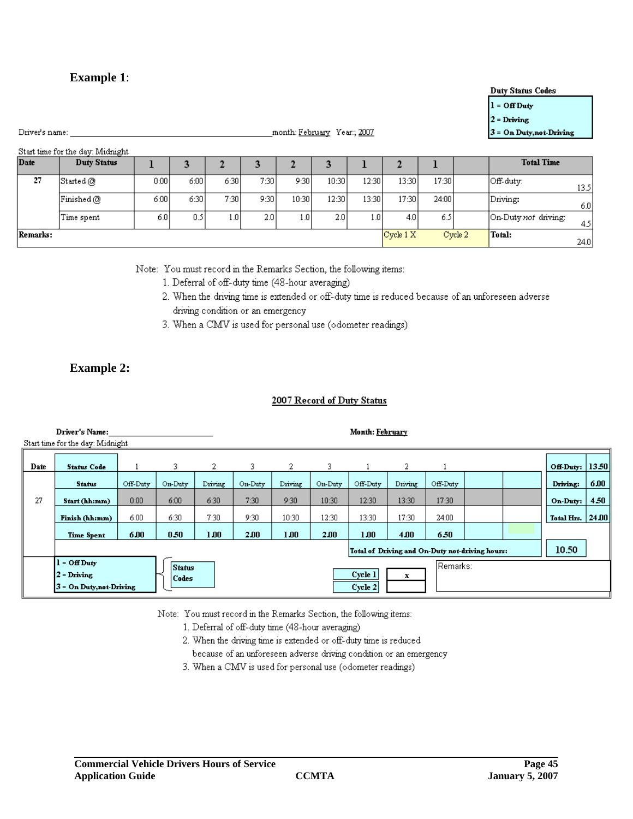**Example 1**:

#### Note: You must record in the Remarks Section, the following items:

1. Deferral of off-duty time (48-hour averaging)

 $\overline{\mathbf{3}}$ 

 $7:30$ 

 $9:30$ 

 $\overline{2.0}$ 

- 2. When the driving time is extended or off-duty time is reduced because of an unforeseen adverse driving condition or an emergency
- 3. When a CMV is used for personal use (odometer readings)

#### **Example 2:**

#### 2007 Record of Duty Status

|      | Driver's Name:<br>Start time for the day: Midnight |                                                                                             |         |         |         |         |         | Month: February |         |          |  |  |            |       |  |
|------|----------------------------------------------------|---------------------------------------------------------------------------------------------|---------|---------|---------|---------|---------|-----------------|---------|----------|--|--|------------|-------|--|
| Date | <b>Status Code</b>                                 |                                                                                             | 3       | 2       | 3.      | 2       | 3.      |                 | 2       |          |  |  | Off-Duty:  | 13.50 |  |
|      | <b>Status</b>                                      | Off-Duty                                                                                    | On-Duty | Driving | On-Duty | Driving | On-Duty | Off-Duty        | Driving | Off-Duty |  |  | Driving:   | 6.00  |  |
| 27   | Start (hh:mm)                                      | 0:00                                                                                        | 6:00    | 6:30    | 7:30    | 9:30    | 10:30   | 12:30           | 13:30   | 17:30    |  |  | On-Duty:   | 4.50  |  |
|      | Finish (hh:mm)                                     | 6:00                                                                                        | 6:30    | 7:30    | 9:30    | 10:30   | 12:30   | 13:30           | 17:30   | 24:00    |  |  | Total Hrs. | 24.00 |  |
|      | <b>Time Spent</b>                                  | 6.00                                                                                        | 0.50    | 1.00    | 2.00    | 1.00    | 2.00    | 1.00            | 4.00    | 6.50     |  |  |            |       |  |
|      | Total of Driving and On-Duty not-driving hours:    |                                                                                             |         |         |         |         |         |                 |         |          |  |  |            |       |  |
|      | $l = Off$ Duty<br>$2 = Driving$                    | Remarks:<br><b>Status</b><br>Cycle 1<br>x<br>  Codes<br>Cycle 2<br>3 = On Duty, not-Driving |         |         |         |         |         |                 |         |          |  |  |            |       |  |

Note: You must record in the Remarks Section, the following items:

- 1. Deferral of off-duty time (48-hour averaging)
- 2. When the driving time is extended or off-duty time is reduced
	- because of an unforeseen adverse driving condition or an emergency
- 3. When a CMV is used for personal use (odometer readings)

 $\overline{\mathbf{3}}$ 

10:30

12:30

 $\overline{2.0}$ 

 $\mathbf{1}$ 

12:30

13:30

 $\overline{1.0}$ 

 $\overline{2}$ 

13:30

 $17:30$ 

 $Cycle 1 X$ 

 $4.0$ 

 $\mathbf{1}$ 

17:30

 $24:00$ 

6.5

Cycle 2

 $\overline{2}$ 

9:30

10:30

 $1.0$ 

**Duty Status Codes** 

Off-duty:

Driving:

Total:

3 = On Duty, not-Driving

**Total Time** 

On-Duty not driving:

13.5

 $6.0$ 

 $4.5$ 

 $24.0$ 

| Driver's name: |  |
|----------------|--|
|                |  |

Date

27

Remarks:

Start time for the day: Midnight

 $\operatorname{Started}(\overline{\mathcal{O}})$ 

 $\mid$ Finished @

Time spent

**Duty Status** 

 $\mathbf{1}$ 

 $0:00$ 

 $6:00$ 

 $6.0$ 

 $\overline{\mathbf{3}}$ 

 $6:00$ 

 $6:30$ 

 $\overline{0.5}$ 

 $\overline{c}$ 

6:30

 $7:30$ 

 $1.0$ 

 $l = Off$  Duty

 $2 = Driving$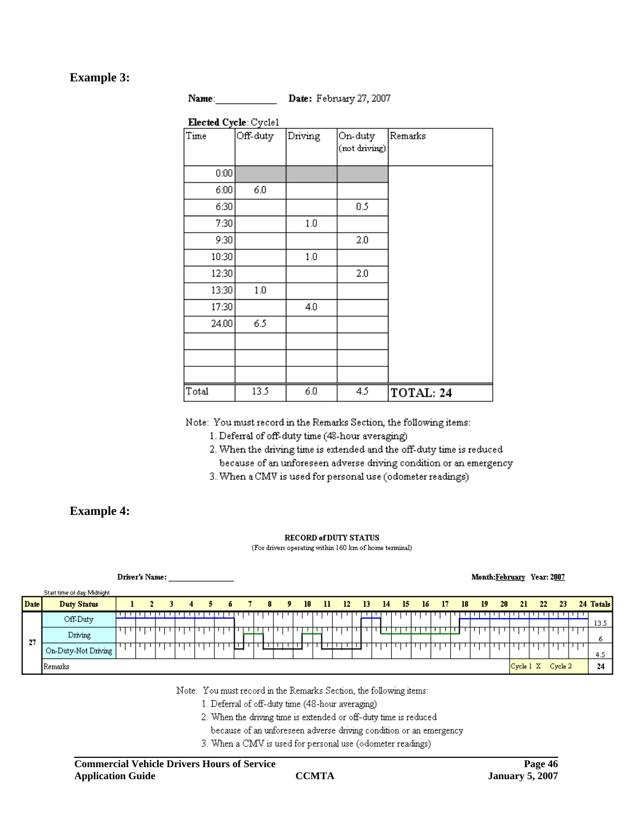#### **Example 3:**

| Name: | D |
|-------|---|
|       |   |

ate: February 27, 2007

| Elected Cycle: Cycle1 |          |         |                          |         |
|-----------------------|----------|---------|--------------------------|---------|
| Time                  | Off-duty | Driving | On-duty<br>(not driving) | Remarks |
| 0:00                  |          |         |                          |         |
| 6:00                  | 6.0      |         |                          |         |
| 6:30                  |          |         | 0.5                      |         |
| 7:30                  |          | 1.0     |                          |         |
| 9:30                  |          |         | 2.0                      |         |
| 10:30                 |          | 1.0     |                          |         |
| 12:30                 |          |         | 2.0                      |         |
| 13:30                 | 1.0      |         |                          |         |
| 17:30                 |          | 4.0     |                          |         |
| 24.00                 | 6.5      |         |                          |         |
|                       |          |         |                          |         |
|                       |          |         |                          |         |
|                       |          |         |                          |         |

Note: You must record in the Remarks Section, the following items:

1. Deferral of off-duty time (48-hour averaging)

6.0

13.5

2. When the driving time is extended and the off-duty time is reduced because of an unforeseen adverse driving condition or an emergency

4.5

TOTAL: 24

3. When a CMV is used for personal use (odometer readings)

#### **Example 4:**

#### **RECORD of DUTY STATUS** (For drivers operating within 160 km of home terminal)

|      | Driver's Name:              |  |  |    |                |    |    |  |    |     |    |               |       |                 |    |      | Month:February Year: 2007 |     |    |      |           |         |           |
|------|-----------------------------|--|--|----|----------------|----|----|--|----|-----|----|---------------|-------|-----------------|----|------|---------------------------|-----|----|------|-----------|---------|-----------|
|      | Start time of day: Midnight |  |  |    |                |    |    |  |    |     |    |               |       |                 |    |      |                           |     |    |      |           |         |           |
| Date | <b>Duty Status</b>          |  |  | 3. | $\overline{4}$ | 5. | б. |  | 78 | - 9 | 10 | $11 \quad 12$ | 13 14 | $\overline{15}$ | lб | - 17 | 18                        | -19 | 20 | -21- | $\sim$ 22 | -23     | 24 Totals |
|      | Off-Duty                    |  |  |    |                |    |    |  |    |     |    |               |       |                 |    |      |                           |     |    |      |           |         |           |
|      |                             |  |  |    |                |    |    |  |    |     |    |               |       |                 |    |      |                           |     |    |      |           |         | 13.5      |
|      | Driving                     |  |  |    |                |    |    |  |    |     |    |               |       |                 |    |      |                           |     |    |      |           |         |           |
| -27  |                             |  |  |    |                |    |    |  |    |     |    |               |       |                 |    |      |                           |     |    |      |           |         | n         |
|      | On-Duty-Not Driving         |  |  |    |                |    |    |  |    |     |    |               |       |                 |    |      |                           |     |    |      |           |         |           |
|      |                             |  |  |    |                |    |    |  |    |     |    |               |       |                 |    |      |                           |     |    |      |           |         | 4.5       |
|      | Remarks                     |  |  |    |                |    |    |  |    |     |    |               |       |                 |    |      |                           |     |    |      | Cycle 1 X | Cycle 2 | -24       |

Note: You must record in the Remarks Section, the following items:

1. Deferral of off-duty time (48-hour averaging)

2. When the driving time is extended or off-duty time is reduced

- because of an unforeseen adverse driving condition or an emergency
- 3. When a CMV is used for personal use (odometer readings)

Total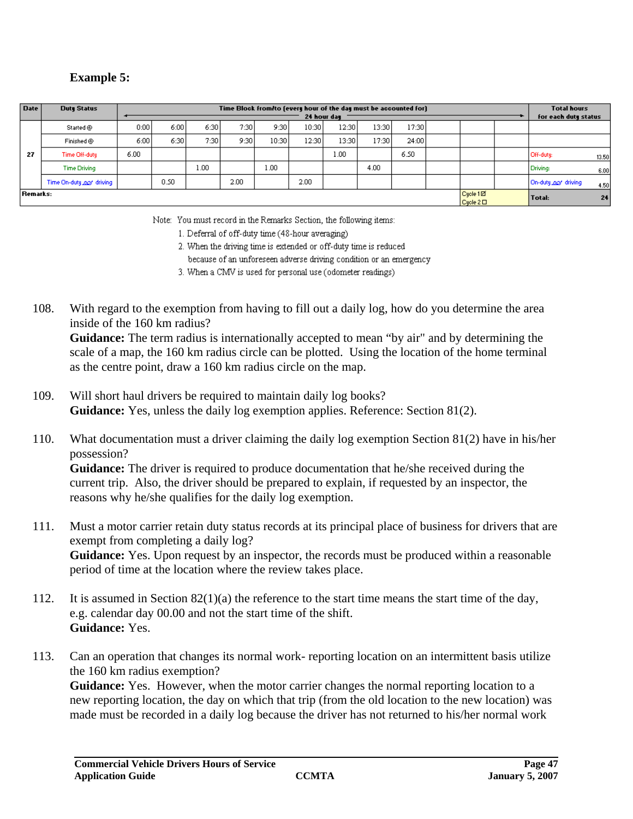# **Example 5:**

| <b>Date</b>     | <b>Duty Status</b>        |      | Time Block from/to (every hour of the day must be accounted for) |      |      |       |             |       |       |       |  |                      |  |                      |       |  |  |
|-----------------|---------------------------|------|------------------------------------------------------------------|------|------|-------|-------------|-------|-------|-------|--|----------------------|--|----------------------|-------|--|--|
|                 |                           |      |                                                                  |      |      |       | 24 hour day |       |       |       |  |                      |  | for each duty status |       |  |  |
|                 | Started @                 | 0:00 | 6:00                                                             | 6:30 | 7:30 | 9:30  | 10:30       | 12:30 | 13:30 | 17:30 |  |                      |  |                      |       |  |  |
|                 | Finished @                | 6:00 | 6:30                                                             | 7:30 | 9:30 | 10:30 | 12:30       | 13:30 | 17:30 | 24:00 |  |                      |  |                      |       |  |  |
| 27              | Time Off-duty             | 6.00 |                                                                  |      |      |       |             | 1.00  |       | 6.50  |  |                      |  | Off-duty:            | 13.50 |  |  |
|                 | <b>Time Driving</b>       |      |                                                                  | .00  |      | 1.00  |             |       | 4.00  |       |  |                      |  | Driving:             | 6.00  |  |  |
|                 | Time On-duty 200' driving |      | 0.50                                                             |      | 2.00 |       | 2.00        |       |       |       |  |                      |  | On-duty not driving  | 4.50  |  |  |
| <b>Remarks:</b> |                           |      |                                                                  |      |      |       |             |       |       |       |  | Cycle 1回<br>Cycle 2D |  | Total:               | 24    |  |  |

Note: You must record in the Remarks Section, the following items:

1. Deferral of off-duty time (48-hour averaging)

2. When the driving time is extended or off-duty time is reduced

because of an unforeseen adverse driving condition or an emergency.

3. When a CMV is used for personal use (odometer readings)

108. With regard to the exemption from having to fill out a daily log, how do you determine the area inside of the 160 km radius?

**Guidance:** The term radius is internationally accepted to mean "by air" and by determining the scale of a map, the 160 km radius circle can be plotted. Using the location of the home terminal as the centre point, draw a 160 km radius circle on the map.

- 109. Will short haul drivers be required to maintain daily log books? **Guidance:** Yes, unless the daily log exemption applies. Reference: Section 81(2).
- 110. What documentation must a driver claiming the daily log exemption Section 81(2) have in his/her possession?

**Guidance:** The driver is required to produce documentation that he/she received during the current trip. Also, the driver should be prepared to explain, if requested by an inspector, the reasons why he/she qualifies for the daily log exemption.

- 111. Must a motor carrier retain duty status records at its principal place of business for drivers that are exempt from completing a daily log? **Guidance:** Yes. Upon request by an inspector, the records must be produced within a reasonable period of time at the location where the review takes place.
- 112. It is assumed in Section 82(1)(a) the reference to the start time means the start time of the day, e.g. calendar day 00.00 and not the start time of the shift. **Guidance:** Yes.
- 113. Can an operation that changes its normal work- reporting location on an intermittent basis utilize the 160 km radius exemption?

Guidance: Yes. However, when the motor carrier changes the normal reporting location to a new reporting location, the day on which that trip (from the old location to the new location) was made must be recorded in a daily log because the driver has not returned to his/her normal work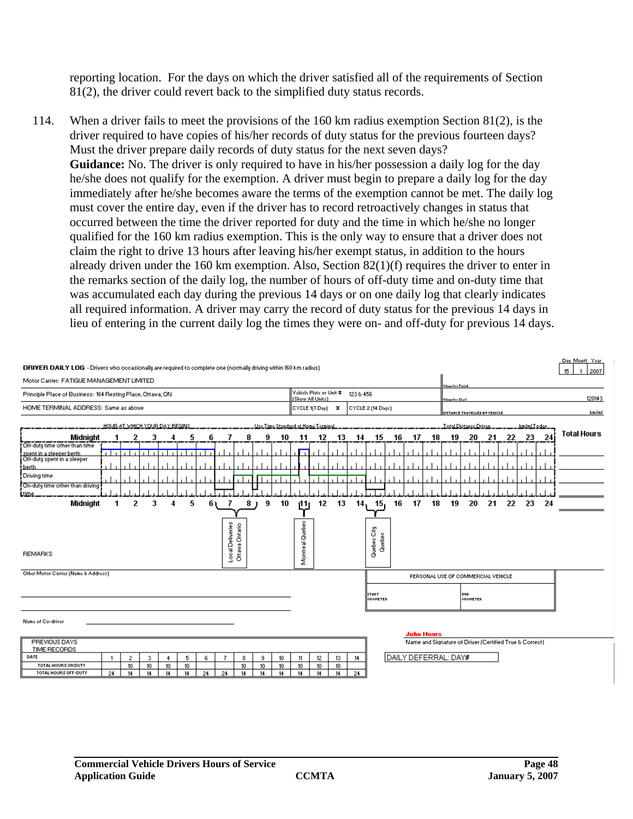reporting location. For the days on which the driver satisfied all of the requirements of Section 81(2), the driver could revert back to the simplified duty status records.

114. When a driver fails to meet the provisions of the 160 km radius exemption Section 81(2), is the driver required to have copies of his/her records of duty status for the previous fourteen days? Must the driver prepare daily records of duty status for the next seven days? **Guidance:** No. The driver is only required to have in his/her possession a daily log for the day he/she does not qualify for the exemption. A driver must begin to prepare a daily log for the day immediately after he/she becomes aware the terms of the exemption cannot be met. The daily log must cover the entire day, even if the driver has to record retroactively changes in status that occurred between the time the driver reported for duty and the time in which he/she no longer qualified for the 160 km radius exemption. This is the only way to ensure that a driver does not claim the right to drive 13 hours after leaving his/her exempt status, in addition to the hours already driven under the 160 km exemption. Also, Section 82(1)(f) requires the driver to enter in the remarks section of the daily log, the number of hours of off-duty time and on-duty time that was accumulated each day during the previous 14 days or on one daily log that clearly indicates all required information. A driver may carry the record of duty status for the previous 14 days in lieu of entering in the current daily log the times they were on- and off-duty for previous 14 days.

| DRIVER DAILY LOG - Drivers who occasionally are required to complete one (normally driving within 160 km radius) |    |                        |                        |                        |               |    |                  |                |                        |                                                          |                                                  |                        |               |  |     |                          |                                               |                   |    |                                    |                        |                                                         |    |    |    | Day Month Year<br>15<br>2007 |
|------------------------------------------------------------------------------------------------------------------|----|------------------------|------------------------|------------------------|---------------|----|------------------|----------------|------------------------|----------------------------------------------------------|--------------------------------------------------|------------------------|---------------|--|-----|--------------------------|-----------------------------------------------|-------------------|----|------------------------------------|------------------------|---------------------------------------------------------|----|----|----|------------------------------|
| Motor Carrier: FATIGUE MANAGEMENT LIMITED                                                                        |    |                        |                        |                        |               |    |                  |                |                        |                                                          |                                                  | Odamelee Pinink        |               |  |     |                          |                                               |                   |    |                                    |                        |                                                         |    |    |    |                              |
| Principle Place of Business: 164 Resting Place, Ottawa, ON                                                       |    |                        |                        |                        |               |    |                  |                |                        | Vehicle Plate or Unit #<br>123 & 456<br>(Show All Units) |                                                  |                        |               |  |     |                          | 120143<br>Odamelee Stael                      |                   |    |                                    |                        |                                                         |    |    |    |                              |
| HOME TERMINAL ADDRESS: Same as above                                                                             |    |                        |                        |                        |               |    |                  |                |                        |                                                          | $ $ CYCLE 1(7 Day) $\bm{X}$<br>CYCLE 2 (14 Days) |                        |               |  |     |                          | km/ml<br><b>DISTANCE TRAVELLED BY VEHICLE</b> |                   |    |                                    |                        |                                                         |    |    |    |                              |
| <u>HOUR AT WHICH YOUR DAY BEGINS</u>                                                                             |    |                        |                        |                        |               |    |                  |                |                        |                                                          | Use Time Standard at Home Terminal               |                        |               |  |     |                          | Total Distance Driven<br>.km/mLToday          |                   |    |                                    |                        |                                                         |    |    |    |                              |
| Midnight                                                                                                         |    | 2                      | 3                      |                        | ь             | 6  |                  |                | 9                      | 10                                                       | -11                                              |                        | 12<br>13      |  | 14  | 15                       | 16                                            | -17               | 18 | 19                                 | 20                     | 21                                                      | 22 | 23 | 24 | <b>Total Hours</b>           |
| Off-duty time other than time                                                                                    |    |                        |                        |                        |               |    |                  |                |                        |                                                          |                                                  |                        |               |  |     |                          |                                               |                   |    |                                    |                        |                                                         |    |    |    |                              |
| spent in a sleeper berth<br>Off-duty spent in a sleeper                                                          |    |                        |                        |                        |               |    |                  |                |                        |                                                          |                                                  |                        |               |  |     |                          |                                               |                   |    |                                    |                        |                                                         |    |    |    |                              |
| <b>Lberth</b>                                                                                                    |    |                        |                        |                        |               |    |                  |                |                        |                                                          |                                                  |                        |               |  |     |                          |                                               |                   |    |                                    |                        |                                                         |    |    |    |                              |
| Driving time                                                                                                     |    |                        |                        |                        |               |    |                  |                |                        |                                                          |                                                  |                        |               |  |     |                          |                                               |                   |    |                                    |                        |                                                         |    |    |    |                              |
| On-duty time other than driving<br>Ltime.                                                                        |    |                        |                        |                        |               |    |                  |                |                        |                                                          |                                                  |                        |               |  |     |                          |                                               |                   |    |                                    |                        |                                                         |    |    |    |                              |
| Midnight                                                                                                         |    | 2                      | 3                      |                        | 5             | 6  |                  |                | 8<br>9                 | 10                                                       | r11                                              |                        | 12<br>13      |  | 14. | 15.                      | 16                                            | 17                | 18 | 19                                 | 20                     | 21                                                      | 22 | 23 | 24 |                              |
|                                                                                                                  |    |                        |                        |                        |               |    |                  |                |                        |                                                          |                                                  |                        |               |  |     |                          |                                               |                   |    |                                    |                        |                                                         |    |    |    |                              |
|                                                                                                                  |    |                        |                        |                        |               |    |                  |                |                        |                                                          |                                                  |                        |               |  |     |                          |                                               |                   |    |                                    |                        |                                                         |    |    |    |                              |
|                                                                                                                  |    |                        |                        |                        |               |    |                  |                |                        |                                                          |                                                  |                        |               |  |     | Quebec City              |                                               |                   |    |                                    |                        |                                                         |    |    |    |                              |
|                                                                                                                  |    |                        |                        |                        |               |    |                  |                |                        |                                                          |                                                  |                        |               |  |     | Quebec                   |                                               |                   |    |                                    |                        |                                                         |    |    |    |                              |
| <b>REMARKS</b>                                                                                                   |    |                        |                        |                        |               |    | Local Deliveries | Ottawa Ontario |                        |                                                          |                                                  | Montreal Quebec        |               |  |     |                          |                                               |                   |    |                                    |                        |                                                         |    |    |    |                              |
|                                                                                                                  |    |                        |                        |                        |               |    |                  |                |                        |                                                          |                                                  |                        |               |  |     |                          |                                               |                   |    |                                    |                        |                                                         |    |    |    |                              |
| Other Motor Carrier (Name & Address)                                                                             |    |                        |                        |                        |               |    |                  |                |                        |                                                          |                                                  |                        |               |  |     |                          |                                               |                   |    | PERSONAL USE OF COMMERCIAL VEHICLE |                        |                                                         |    |    |    |                              |
|                                                                                                                  |    |                        |                        |                        |               |    |                  |                |                        |                                                          |                                                  |                        |               |  |     |                          |                                               |                   |    |                                    |                        |                                                         |    |    |    |                              |
|                                                                                                                  |    |                        |                        |                        |               |    |                  |                |                        |                                                          |                                                  |                        |               |  |     | <b>START</b><br>ODOMETER |                                               |                   |    |                                    | EHD<br><b>ODOMETER</b> |                                                         |    |    |    |                              |
|                                                                                                                  |    |                        |                        |                        |               |    |                  |                |                        |                                                          |                                                  |                        |               |  |     |                          |                                               |                   |    |                                    |                        |                                                         |    |    |    |                              |
| Name of Co-driver                                                                                                |    |                        |                        |                        |               |    |                  |                |                        |                                                          |                                                  |                        |               |  |     |                          |                                               |                   |    |                                    |                        |                                                         |    |    |    |                              |
|                                                                                                                  |    |                        |                        |                        |               |    |                  |                |                        |                                                          |                                                  |                        |               |  |     |                          |                                               |                   |    |                                    |                        |                                                         |    |    |    |                              |
| PREVIOUS DAYS                                                                                                    |    |                        |                        |                        |               |    |                  |                |                        |                                                          |                                                  |                        |               |  |     |                          |                                               | <b>John Hours</b> |    |                                    |                        | Name and Signature of Driver (Certified True & Correct) |    |    |    |                              |
| TIME RECORDS                                                                                                     |    |                        |                        |                        |               |    |                  |                |                        |                                                          |                                                  |                        |               |  |     |                          |                                               |                   |    |                                    |                        |                                                         |    |    |    |                              |
| DATE                                                                                                             |    | $\overline{c}$         | 3                      | 4                      | 5             | 6. | 7                | 8              | 9                      | 10 <sub>10</sub>                                         | 11                                               | 12                     | 13            |  | 14  |                          |                                               |                   |    | DAILY DEFERRAL: DAY#               |                        |                                                         |    |    |    |                              |
| TOTAL HOURS ON DUTY<br>TOTAL HOURS OFF-DUTY                                                                      | 24 | 10 <sup>10</sup><br>14 | 10 <sub>10</sub><br>14 | 10 <sup>10</sup><br>14 | $10-10$<br>14 | 24 | 24               | 10<br>14       | 10 <sup>10</sup><br>14 | 10 <sup>°</sup><br>14                                    | $10-10$<br>14                                    | 10 <sup>10</sup><br>14 | $10-10$<br>14 |  | 24  |                          |                                               |                   |    |                                    |                        |                                                         |    |    |    |                              |
|                                                                                                                  |    |                        |                        |                        |               |    |                  |                |                        |                                                          |                                                  |                        |               |  |     |                          |                                               |                   |    |                                    |                        |                                                         |    |    |    |                              |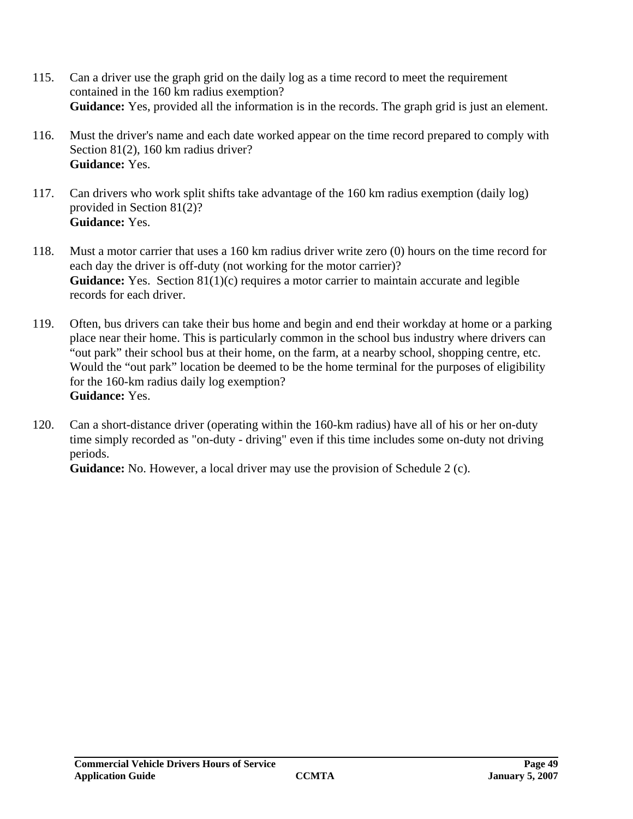- 115. Can a driver use the graph grid on the daily log as a time record to meet the requirement contained in the 160 km radius exemption? **Guidance:** Yes, provided all the information is in the records. The graph grid is just an element.
- 116. Must the driver's name and each date worked appear on the time record prepared to comply with Section 81(2), 160 km radius driver? **Guidance:** Yes.
- 117. Can drivers who work split shifts take advantage of the 160 km radius exemption (daily log) provided in Section 81(2)? **Guidance:** Yes.
- 118. Must a motor carrier that uses a 160 km radius driver write zero (0) hours on the time record for each day the driver is off-duty (not working for the motor carrier)? **Guidance:** Yes. Section 81(1)(c) requires a motor carrier to maintain accurate and legible records for each driver.
- 119. Often, bus drivers can take their bus home and begin and end their workday at home or a parking place near their home. This is particularly common in the school bus industry where drivers can "out park" their school bus at their home, on the farm, at a nearby school, shopping centre, etc. Would the "out park" location be deemed to be the home terminal for the purposes of eligibility for the 160-km radius daily log exemption? **Guidance:** Yes.
- 120. Can a short-distance driver (operating within the 160-km radius) have all of his or her on-duty time simply recorded as "on-duty - driving" even if this time includes some on-duty not driving periods.

**Guidance:** No. However, a local driver may use the provision of Schedule 2 (c).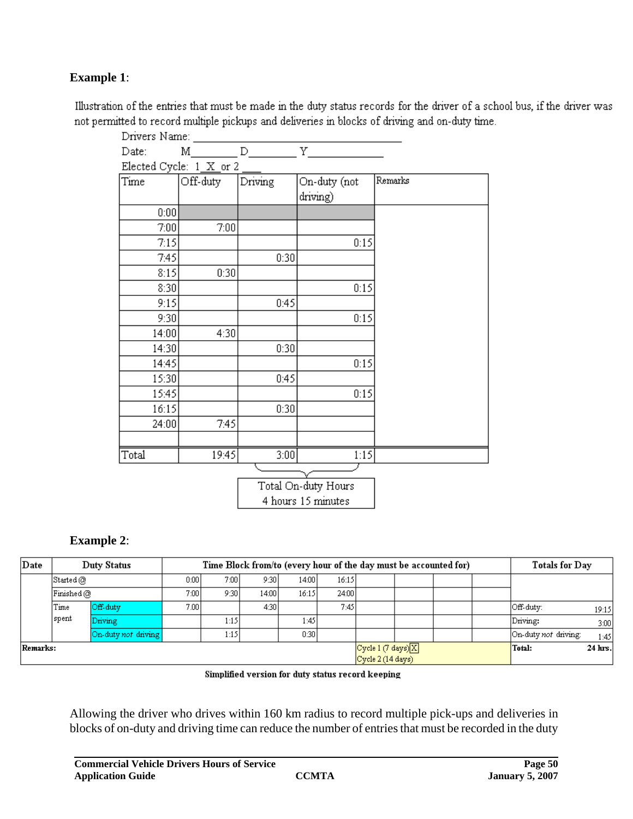# **Example 1**:

Illustration of the entries that must be made in the duty status records for the driver of a school bus, if the driver was not permitted to record multiple pickups and deliveries in blocks of driving and on-duty time.

| Drivers Name: |                         |         |              |         |
|---------------|-------------------------|---------|--------------|---------|
| Date:         | М                       | D.      | Y            |         |
|               | Elected Cycle: 1_X_or 2 |         |              |         |
| Time          | Off-duty                | Driving | On-duty (not | Remarks |
|               |                         |         | driving)     |         |
| 0:00          |                         |         |              |         |
| 7:00          | 7:00                    |         |              |         |
| 7:15          |                         |         | 0:15         |         |
| 7:45          |                         | 0:30    |              |         |
| 8:15          | 0:30                    |         |              |         |
| 8:30          |                         |         | 0:15         |         |
| 9:15          |                         | 0:45    |              |         |
| 9:30          |                         |         | 0:15         |         |
| 14:00         | 4:30                    |         |              |         |
| 14:30         |                         | 0:30    |              |         |
| 14:45         |                         |         | 0:15         |         |
| 15:30         |                         | 0:45    |              |         |
| 15:45         |                         |         | 0:15         |         |
| 16:15         |                         | 0:30    |              |         |
| 24:00         | 7:45                    |         |              |         |
|               |                         |         |              |         |
| Total         | 19:45                   | 3:00    | 1:15         |         |
|               |                         |         |              |         |

Total On-duty Hours 4 hours 15 minutes

# **Example 2**:

| Date     |                                                   | <b>Duty Status</b>  |       | Time Block from/to (every hour of the day must be accounted for) | Totals for Day                    |         |        |         |  |  |                      |       |
|----------|---------------------------------------------------|---------------------|-------|------------------------------------------------------------------|-----------------------------------|---------|--------|---------|--|--|----------------------|-------|
|          | $\mathop{\mathsf{Started}}\nolimits(\mathcal{O})$ |                     | 0:001 | 7:00                                                             | 9:301                             | 14:00 l | 16:15  |         |  |  |                      |       |
|          | Finished @                                        |                     | 7:00  | 9:30                                                             | 14:00 l                           | 16:15   | 24:00  |         |  |  |                      |       |
|          | Time                                              | Off-duty            |       | 7.00                                                             | 4:30                              |         | 7:45   |         |  |  | Off-duty:            | 19:15 |
|          | spent                                             | Driving             |       | 1:15                                                             |                                   | 1:45    |        |         |  |  | Driving:             | 3:00  |
|          |                                                   | On-duty not driving |       | 1:15                                                             |                                   | 0:301   |        |         |  |  | On-duty not driving: | 1:45  |
| Remarks: |                                                   |                     |       |                                                                  | Cycle 1 (7 days) $\boxed{\times}$ |         | Total: | 24 hrs. |  |  |                      |       |
|          |                                                   |                     |       |                                                                  | Cycle 2 (14 days)                 |         |        |         |  |  |                      |       |

Simplified version for duty status record keeping

Allowing the driver who drives within 160 km radius to record multiple pick-ups and deliveries in blocks of on-duty and driving time can reduce the number of entries that must be recorded in the duty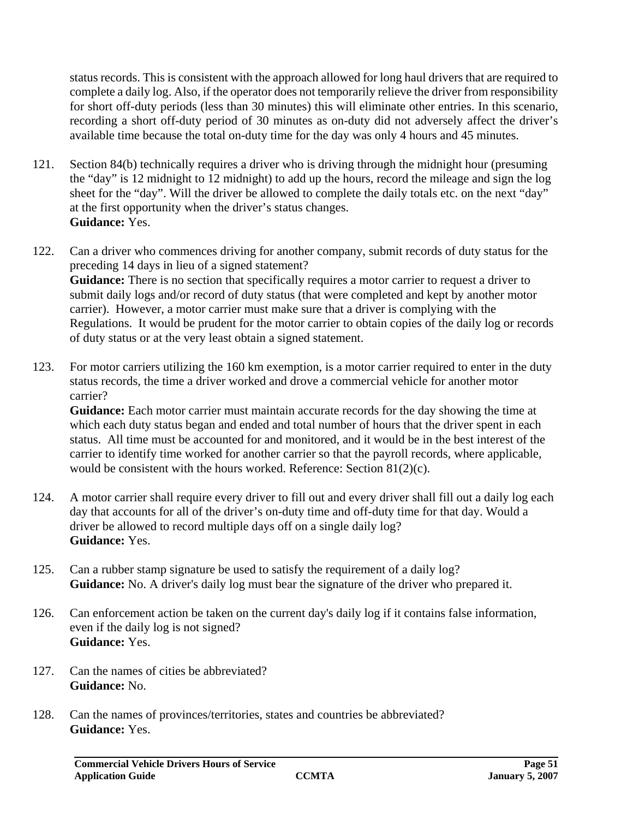status records. This is consistent with the approach allowed for long haul drivers that are required to complete a daily log. Also, if the operator does not temporarily relieve the driver from responsibility for short off-duty periods (less than 30 minutes) this will eliminate other entries. In this scenario, recording a short off-duty period of 30 minutes as on-duty did not adversely affect the driver's available time because the total on-duty time for the day was only 4 hours and 45 minutes.

- 121. Section 84(b) technically requires a driver who is driving through the midnight hour (presuming the "day" is 12 midnight to 12 midnight) to add up the hours, record the mileage and sign the log sheet for the "day". Will the driver be allowed to complete the daily totals etc. on the next "day" at the first opportunity when the driver's status changes. **Guidance:** Yes.
- 122. Can a driver who commences driving for another company, submit records of duty status for the preceding 14 days in lieu of a signed statement? **Guidance:** There is no section that specifically requires a motor carrier to request a driver to submit daily logs and/or record of duty status (that were completed and kept by another motor carrier). However, a motor carrier must make sure that a driver is complying with the Regulations. It would be prudent for the motor carrier to obtain copies of the daily log or records of duty status or at the very least obtain a signed statement.
- 123. For motor carriers utilizing the 160 km exemption, is a motor carrier required to enter in the duty status records, the time a driver worked and drove a commercial vehicle for another motor carrier?

**Guidance:** Each motor carrier must maintain accurate records for the day showing the time at which each duty status began and ended and total number of hours that the driver spent in each status. All time must be accounted for and monitored, and it would be in the best interest of the carrier to identify time worked for another carrier so that the payroll records, where applicable, would be consistent with the hours worked. Reference: Section 81(2)(c).

- 124. A motor carrier shall require every driver to fill out and every driver shall fill out a daily log each day that accounts for all of the driver's on-duty time and off-duty time for that day. Would a driver be allowed to record multiple days off on a single daily log? **Guidance:** Yes.
- 125. Can a rubber stamp signature be used to satisfy the requirement of a daily log? **Guidance:** No. A driver's daily log must bear the signature of the driver who prepared it.
- 126. Can enforcement action be taken on the current day's daily log if it contains false information, even if the daily log is not signed? **Guidance:** Yes.
- 127. Can the names of cities be abbreviated? **Guidance:** No.
- 128. Can the names of provinces/territories, states and countries be abbreviated? **Guidance:** Yes.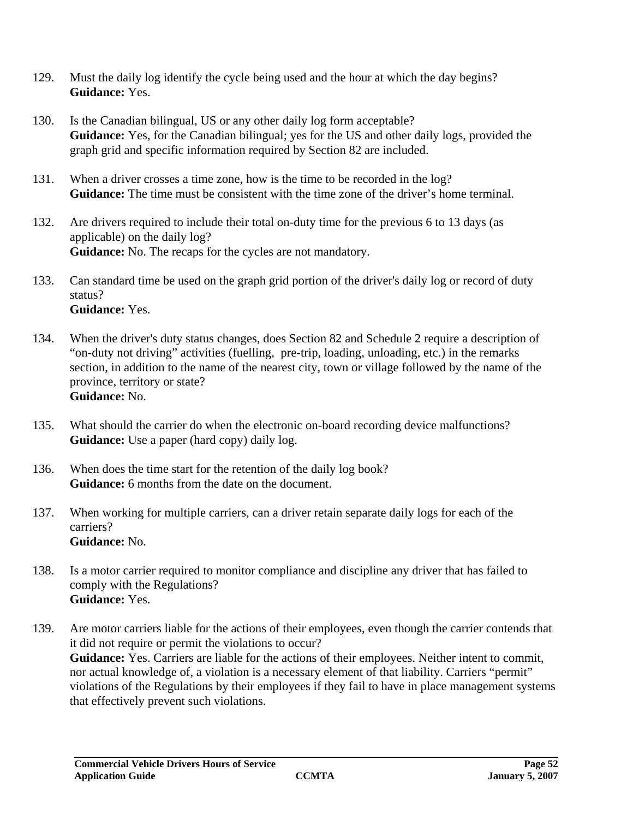- 129. Must the daily log identify the cycle being used and the hour at which the day begins? **Guidance:** Yes.
- 130. Is the Canadian bilingual, US or any other daily log form acceptable? **Guidance:** Yes, for the Canadian bilingual; yes for the US and other daily logs, provided the graph grid and specific information required by Section 82 are included.
- 131. When a driver crosses a time zone, how is the time to be recorded in the log? **Guidance:** The time must be consistent with the time zone of the driver's home terminal.
- 132. Are drivers required to include their total on-duty time for the previous 6 to 13 days (as applicable) on the daily log? **Guidance:** No. The recaps for the cycles are not mandatory.
- 133. Can standard time be used on the graph grid portion of the driver's daily log or record of duty status? **Guidance:** Yes.
- 134. When the driver's duty status changes, does Section 82 and Schedule 2 require a description of "on-duty not driving" activities (fuelling, pre-trip, loading, unloading, etc.) in the remarks section, in addition to the name of the nearest city, town or village followed by the name of the province, territory or state? **Guidance:** No.
- 135. What should the carrier do when the electronic on-board recording device malfunctions? **Guidance:** Use a paper (hard copy) daily log.
- 136. When does the time start for the retention of the daily log book? **Guidance:** 6 months from the date on the document.
- 137. When working for multiple carriers, can a driver retain separate daily logs for each of the carriers? **Guidance:** No.
- 138. Is a motor carrier required to monitor compliance and discipline any driver that has failed to comply with the Regulations? **Guidance:** Yes.
- 139. Are motor carriers liable for the actions of their employees, even though the carrier contends that it did not require or permit the violations to occur? **Guidance:** Yes. Carriers are liable for the actions of their employees. Neither intent to commit, nor actual knowledge of, a violation is a necessary element of that liability. Carriers "permit" violations of the Regulations by their employees if they fail to have in place management systems that effectively prevent such violations.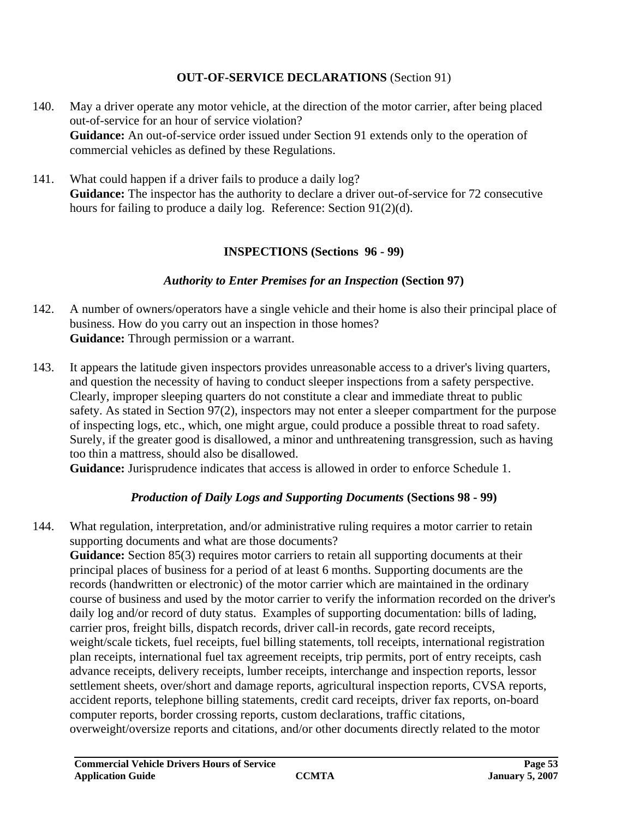#### **OUT-OF-SERVICE DECLARATIONS** (Section 91)

- 140. May a driver operate any motor vehicle, at the direction of the motor carrier, after being placed out-of-service for an hour of service violation? **Guidance:** An out-of-service order issued under Section 91 extends only to the operation of commercial vehicles as defined by these Regulations.
- 141. What could happen if a driver fails to produce a daily log? **Guidance:** The inspector has the authority to declare a driver out-of-service for 72 consecutive hours for failing to produce a daily log. Reference: Section 91(2)(d).

#### **INSPECTIONS (Sections 96 - 99)**

#### *Authority to Enter Premises for an Inspection* **(Section 97)**

- 142. A number of owners/operators have a single vehicle and their home is also their principal place of business. How do you carry out an inspection in those homes? **Guidance:** Through permission or a warrant.
- 143. It appears the latitude given inspectors provides unreasonable access to a driver's living quarters, and question the necessity of having to conduct sleeper inspections from a safety perspective. Clearly, improper sleeping quarters do not constitute a clear and immediate threat to public safety. As stated in Section 97(2), inspectors may not enter a sleeper compartment for the purpose of inspecting logs, etc., which, one might argue, could produce a possible threat to road safety. Surely, if the greater good is disallowed, a minor and unthreatening transgression, such as having too thin a mattress, should also be disallowed.

**Guidance:** Jurisprudence indicates that access is allowed in order to enforce Schedule 1.

# *Production of Daily Logs and Supporting Documents* **(Sections 98 - 99)**

144. What regulation, interpretation, and/or administrative ruling requires a motor carrier to retain supporting documents and what are those documents?

**Guidance:** Section 85(3) requires motor carriers to retain all supporting documents at their principal places of business for a period of at least 6 months. Supporting documents are the records (handwritten or electronic) of the motor carrier which are maintained in the ordinary course of business and used by the motor carrier to verify the information recorded on the driver's daily log and/or record of duty status. Examples of supporting documentation: bills of lading, carrier pros, freight bills, dispatch records, driver call-in records, gate record receipts, weight/scale tickets, fuel receipts, fuel billing statements, toll receipts, international registration plan receipts, international fuel tax agreement receipts, trip permits, port of entry receipts, cash advance receipts, delivery receipts, lumber receipts, interchange and inspection reports, lessor settlement sheets, over/short and damage reports, agricultural inspection reports, CVSA reports, accident reports, telephone billing statements, credit card receipts, driver fax reports, on-board computer reports, border crossing reports, custom declarations, traffic citations, overweight/oversize reports and citations, and/or other documents directly related to the motor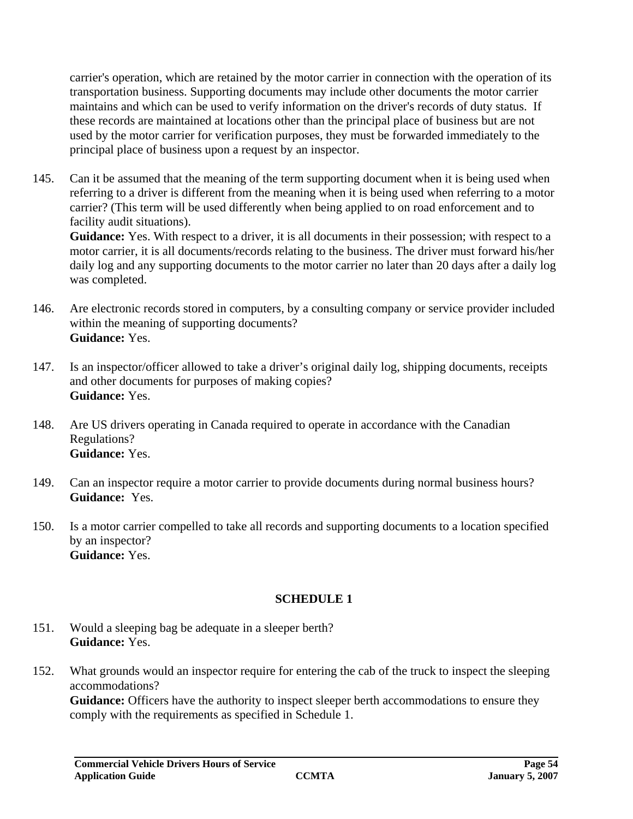carrier's operation, which are retained by the motor carrier in connection with the operation of its transportation business. Supporting documents may include other documents the motor carrier maintains and which can be used to verify information on the driver's records of duty status. If these records are maintained at locations other than the principal place of business but are not used by the motor carrier for verification purposes, they must be forwarded immediately to the principal place of business upon a request by an inspector.

145. Can it be assumed that the meaning of the term supporting document when it is being used when referring to a driver is different from the meaning when it is being used when referring to a motor carrier? (This term will be used differently when being applied to on road enforcement and to facility audit situations).

**Guidance:** Yes. With respect to a driver, it is all documents in their possession; with respect to a motor carrier, it is all documents/records relating to the business. The driver must forward his/her daily log and any supporting documents to the motor carrier no later than 20 days after a daily log was completed.

- 146. Are electronic records stored in computers, by a consulting company or service provider included within the meaning of supporting documents? **Guidance:** Yes.
- 147. Is an inspector/officer allowed to take a driver's original daily log, shipping documents, receipts and other documents for purposes of making copies? **Guidance:** Yes.
- 148. Are US drivers operating in Canada required to operate in accordance with the Canadian Regulations? **Guidance:** Yes.
- 149. Can an inspector require a motor carrier to provide documents during normal business hours? **Guidance:** Yes.
- 150. Is a motor carrier compelled to take all records and supporting documents to a location specified by an inspector? **Guidance:** Yes.

# **SCHEDULE 1**

- 151. Would a sleeping bag be adequate in a sleeper berth? **Guidance:** Yes.
- 152. What grounds would an inspector require for entering the cab of the truck to inspect the sleeping accommodations?

**Guidance:** Officers have the authority to inspect sleeper berth accommodations to ensure they comply with the requirements as specified in Schedule 1.